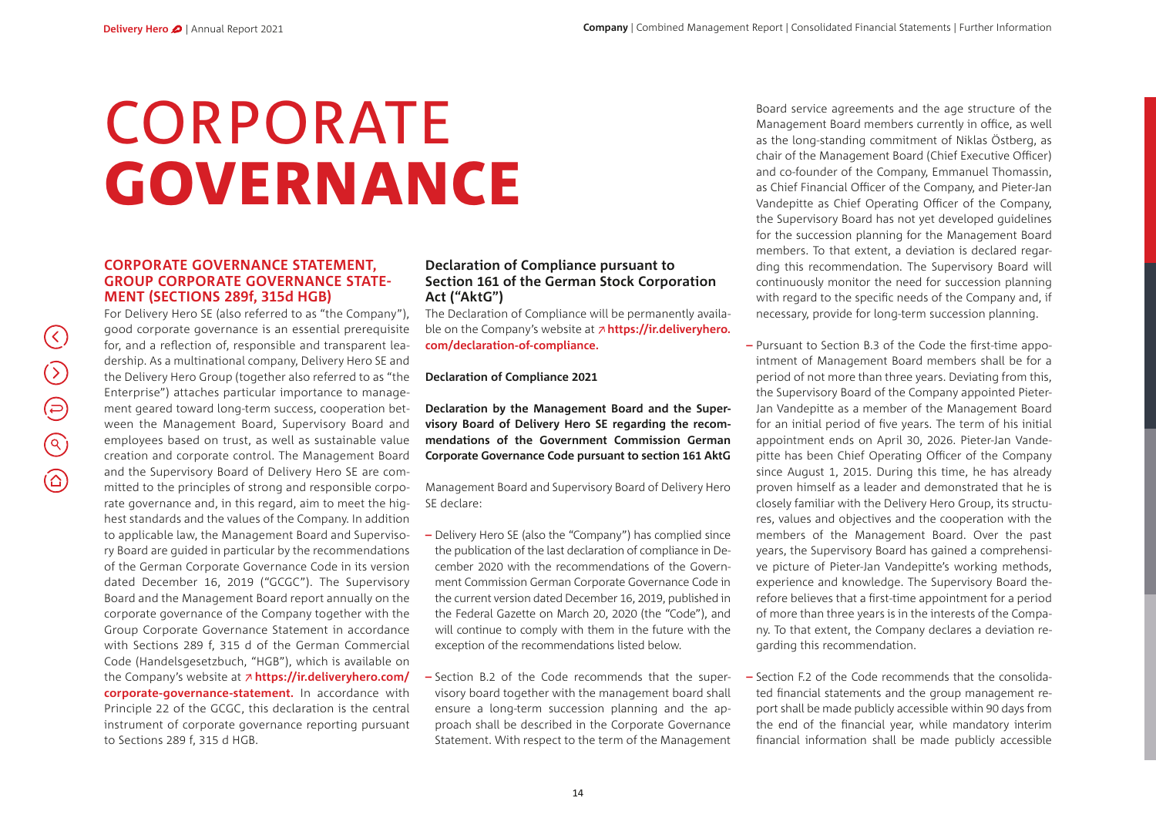$(\langle \rangle)$ 

 $\bigodot$ 

 $\bigoplus$ 

 $\odot$ 

 $\textcircled{c}$ 

# CORPORATE GOVERNANCE

## **CORPORATE GOVERNANCE STATEMENT, GROUP CORPORATE GOVERNANCE STATE-MENT (SECTIONS 289f, 315d HGB)**

For Delivery Hero SE (also referred to as "the Company"), good corporate governance is an essential prerequisite for, and a reflection of, responsible and transparent leadership. As a multinational company, Delivery Hero SE and the Delivery Hero Group (together also referred to as "the Enterprise") attaches particular importance to management geared toward long-term success, cooperation between the Management Board, Supervisory Board and employees based on trust, as well as sustainable value creation and corporate control. The Management Board and the Supervisory Board of Delivery Hero SE are committed to the principles of strong and responsible corporate governance and, in this regard, aim to meet the highest standards and the values of the Company. In addition to applicable law, the Management Board and Supervisory Board are guided in particular by the recommendations of the German Corporate Governance Code in its version dated December 16, 2019 ("GCGC"). The Supervisory Board and the Management Board report annually on the corporate governance of the Company together with the Group Corporate Governance Statement in accordance with Sections 289 f, 315 d of the German Commercial Code (Handelsgesetzbuch, "HGB"), which is available on the Company's website at **[https://ir.deliveryhero.com/](https://ir.deliveryhero.com/websites/delivery/English/4100/corporate-governance-statement.html) [corporate-governance-statement.](https://ir.deliveryhero.com/websites/delivery/English/4100/corporate-governance-statement.html)** In accordance with Principle 22 of the GCGC, this declaration is the central instrument of corporate governance reporting pursuant to Sections 289 f, 315 d HGB.

#### **Declaration of Compliance pursuant to Section 161 of the German Stock Corporation Act ("AktG")**

The Declaration of Compliance will be permanently available on the Company's website at **[https://ir.deliveryhero.](https://ir.deliveryhero.com/websites/delivery/English/4500/declaration-of-compliance.html) [com/declaration-of-compliance.](https://ir.deliveryhero.com/websites/delivery/English/4500/declaration-of-compliance.html)**

#### **Declaration of Compliance 2021**

**Declaration by the Management Board and the Supervisory Board of Delivery Hero SE regarding the recommendations of the Government Commission German Corporate Governance Code pursuant to section 161 AktG** 

Management Board and Supervisory Board of Delivery Hero SE declare:

- **–** Delivery Hero SE (also the "Company") has complied since the publication of the last declaration of compliance in December 2020 with the recommendations of the Government Commission German Corporate Governance Code in the current version dated December 16, 2019, published in the Federal Gazette on March 20, 2020 (the "Code"), and will continue to comply with them in the future with the exception of the recommendations listed below.
- **–** Section B.2 of the Code recommends that the supervisory board together with the management board shall ensure a long-term succession planning and the approach shall be described in the Corporate Governance Statement. With respect to the term of the Management

Board service agreements and the age structure of the Management Board members currently in office, as well as the long-standing commitment of Niklas Östberg, as chair of the Management Board (Chief Executive Officer) and co-founder of the Company, Emmanuel Thomassin, as Chief Financial Officer of the Company, and Pieter-Jan Vandepitte as Chief Operating Officer of the Company, the Supervisory Board has not yet developed guidelines for the succession planning for the Management Board members. To that extent, a deviation is declared regarding this recommendation. The Supervisory Board will continuously monitor the need for succession planning with regard to the specific needs of the Company and, if necessary, provide for long-term succession planning.

- **–** Pursuant to Section B.3 of the Code the first-time appointment of Management Board members shall be for a period of not more than three years. Deviating from this, the Supervisory Board of the Company appointed Pieter-Jan Vandepitte as a member of the Management Board for an initial period of five years. The term of his initial appointment ends on April 30, 2026. Pieter-Jan Vandepitte has been Chief Operating Officer of the Company since August 1, 2015. During this time, he has already proven himself as a leader and demonstrated that he is closely familiar with the Delivery Hero Group, its structures, values and objectives and the cooperation with the members of the Management Board. Over the past years, the Supervisory Board has gained a comprehensive picture of Pieter-Jan Vandepitte's working methods, experience and knowledge. The Supervisory Board therefore believes that a first-time appointment for a period of more than three years is in the interests of the Company. To that extent, the Company declares a deviation regarding this recommendation.
- **–** Section F.2 of the Code recommends that the consolidated financial statements and the group management report shall be made publicly accessible within 90 days from the end of the financial year, while mandatory interim financial information shall be made publicly accessible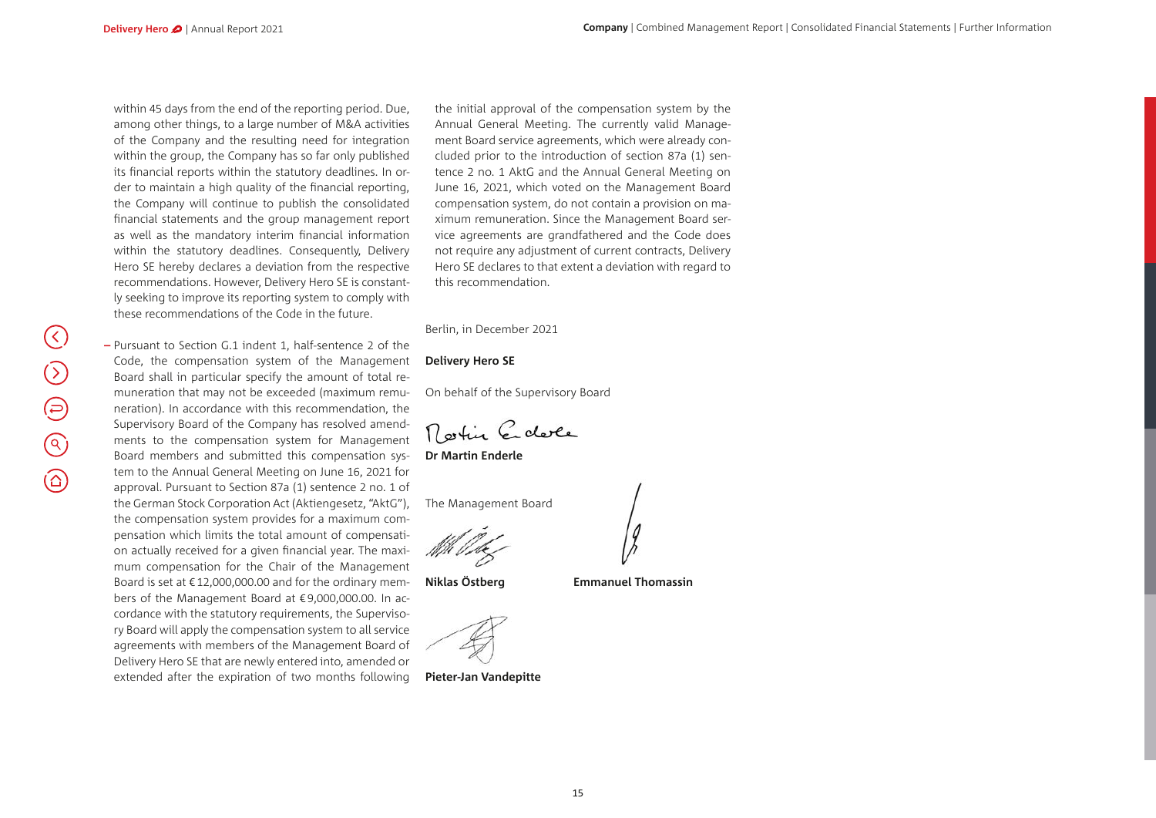within 45 days from the end of the reporting period. Due, among other things, to a large number of M&A activities of the Company and the resulting need for integration within the group, the Company has so far only published its financial reports within the statutory deadlines. In order to maintain a high quality of the financial reporting, the Company will continue to publish the consolidated financial statements and the group management report as well as the mandatory interim financial information within the statutory deadlines. Consequently, Delivery Hero SE hereby declares a deviation from the respective recommendations. However, Delivery Hero SE is constantly seeking to improve its reporting system to comply with these recommendations of the Code in the future.

**–** Pursuant to Section G.1 indent 1, half-sentence 2 of the Code, the compensation system of the Management Board shall in particular specify the amount of total remuneration that may not be exceeded (maximum remuneration). In accordance with this recommendation, the Supervisory Board of the Company has resolved amendments to the compensation system for Management Board members and submitted this compensation system to the Annual General Meeting on June 16, 2021 for approval. Pursuant to Section 87a (1) sentence 2 no. 1 of the German Stock Corporation Act (Aktiengesetz, "AktG"), the compensation system provides for a maximum compensation which limits the total amount of compensation actually received for a given financial year. The maximum compensation for the Chair of the Management Board is set at €12,000,000.00 and for the ordinary members of the Management Board at €9,000,000.00. In accordance with the statutory requirements, the Supervisory Board will apply the compensation system to all service agreements with members of the Management Board of Delivery Hero SE that are newly entered into, amended or extended after the expiration of two months following

the initial approval of the compensation system by the Annual General Meeting. The currently valid Management Board service agreements, which were already concluded prior to the introduction of section 87a (1) sentence 2 no. 1 AktG and the Annual General Meeting on June 16, 2021, which voted on the Management Board compensation system, do not contain a provision on maximum remuneration. Since the Management Board service agreements are grandfathered and the Code does not require any adjustment of current contracts, Delivery Hero SE declares to that extent a deviation with regard to this recommendation.

Berlin, in December 2021

#### **Delivery Hero SE**

On behalf of the Supervisory Board

Rostin Edele

**Dr Martin Enderle**

The Management Board

**Niklas Östberg Emmanuel Thomassin**

**Pieter-Jan Vandepitte**

 $\bigcirc$  $\bigoplus$  $\bigodot$  $\circledcirc$ 

 $(\zeta)$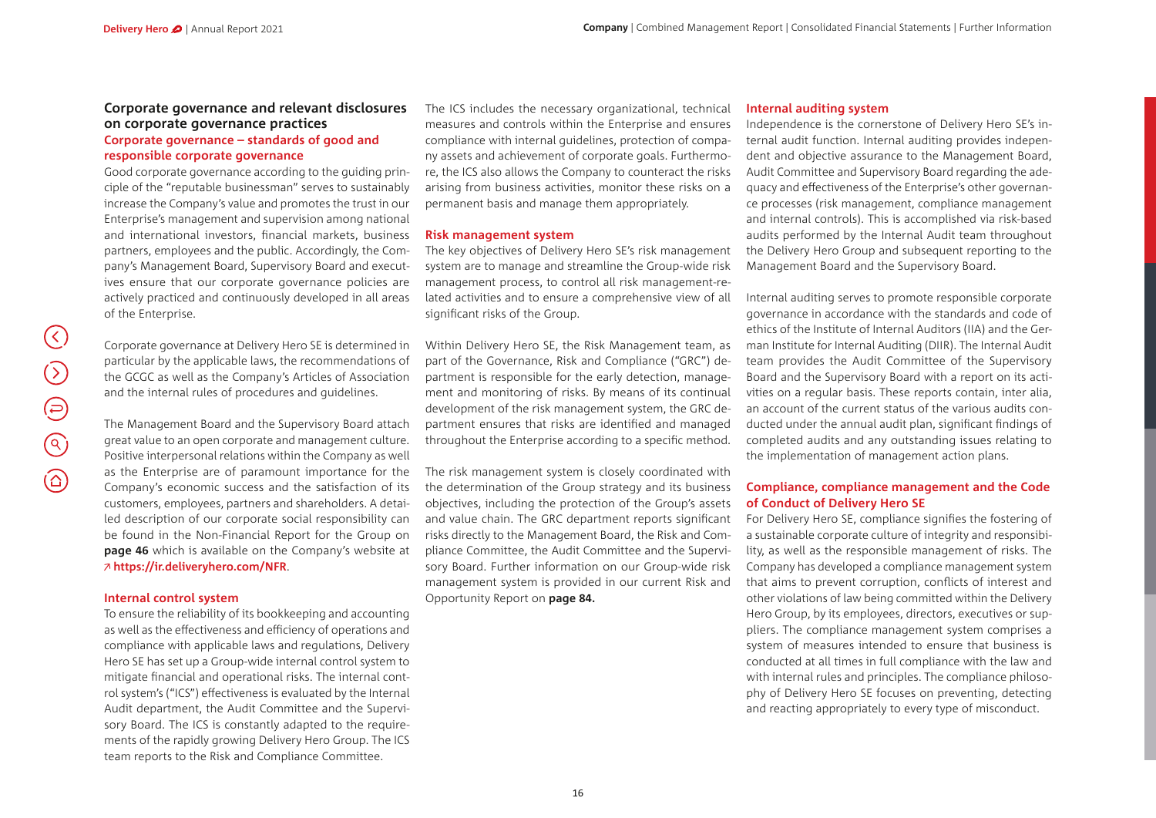#### **Corporate governance and relevant disclosures on corporate governance practices Corporate governance – standards of good and responsible corporate governance**

Good corporate governance according to the guiding principle of the "reputable businessman" serves to sustainably increase the Company's value and promotes the trust in our Enterprise's management and supervision among national and international investors, financial markets, business partners, employees and the public. Accordingly, the Company's Management Board, Supervisory Board and executives ensure that our corporate governance policies are actively practiced and continuously developed in all areas of the Enterprise.

Corporate governance at Delivery Hero SE is determined in particular by the applicable laws, the recommendations of the GCGC as well as the Company's Articles of Association and the internal rules of procedures and guidelines.

The Management Board and the Supervisory Board attach great value to an open corporate and management culture. Positive interpersonal relations within the Company as well as the Enterprise are of paramount importance for the Company's economic success and the satisfaction of its customers, employees, partners and shareholders. A detailed description of our corporate social responsibility can be found in the Non-Financial Report for the Group on **page 46** which is available on the Company's website at **https://ir.deliveryhero.com/NFR**.

#### **Internal control system**

To ensure the reliability of its bookkeeping and accounting as well as the effectiveness and efficiency of operations and compliance with applicable laws and regulations, Delivery Hero SE has set up a Group-wide internal control system to mitigate financial and operational risks. The internal control system's ("ICS") effectiveness is evaluated by the Internal Audit department, the Audit Committee and the Supervisory Board. The ICS is constantly adapted to the requirements of the rapidly growing Delivery Hero Group. The ICS team reports to the Risk and Compliance Committee.

The ICS includes the necessary organizational, technical measures and controls within the Enterprise and ensures compliance with internal guidelines, protection of company assets and achievement of corporate goals. Furthermore, the ICS also allows the Company to counteract the risks arising from business activities, monitor these risks on a permanent basis and manage them appropriately.

#### **Risk management system**

The key objectives of Delivery Hero SE's risk management system are to manage and streamline the Group-wide risk management process, to control all risk management-related activities and to ensure a comprehensive view of all significant risks of the Group.

Within Delivery Hero SE, the Risk Management team, as part of the Governance, Risk and Compliance ("GRC") department is responsible for the early detection, management and monitoring of risks. By means of its continual development of the risk management system, the GRC department ensures that risks are identified and managed throughout the Enterprise according to a specific method.

The risk management system is closely coordinated with the determination of the Group strategy and its business objectives, including the protection of the Group's assets and value chain. The GRC department reports significant risks directly to the Management Board, the Risk and Compliance Committee, the Audit Committee and the Supervisory Board. Further information on our Group-wide risk management system is provided in our current Risk and Opportunity Report on **page 84.**

#### **Internal auditing system**

Independence is the cornerstone of Delivery Hero SE's internal audit function. Internal auditing provides independent and objective assurance to the Management Board, Audit Committee and Supervisory Board regarding the adequacy and effectiveness of the Enterprise's other governance processes (risk management, compliance management and internal controls). This is accomplished via risk-based audits performed by the Internal Audit team throughout the Delivery Hero Group and subsequent reporting to the Management Board and the Supervisory Board.

Internal auditing serves to promote responsible corporate governance in accordance with the standards and code of ethics of the Institute of Internal Auditors (IIA) and the German Institute for Internal Auditing (DIIR). The Internal Audit team provides the Audit Committee of the Supervisory Board and the Supervisory Board with a report on its activities on a regular basis. These reports contain, inter alia, an account of the current status of the various audits conducted under the annual audit plan, significant findings of completed audits and any outstanding issues relating to the implementation of management action plans.

#### **Compliance, compliance management and the Code of Conduct of Delivery Hero SE**

For Delivery Hero SE, compliance signifies the fostering of a sustainable corporate culture of integrity and responsibility, as well as the responsible management of risks. The Company has developed a compliance management system that aims to prevent corruption, conflicts of interest and other violations of law being committed within the Delivery Hero Group, by its employees, directors, executives or suppliers. The compliance management system comprises a system of measures intended to ensure that business is conducted at all times in full compliance with the law and with internal rules and principles. The compliance philosophy of Delivery Hero SE focuses on preventing, detecting and reacting appropriately to every type of misconduct.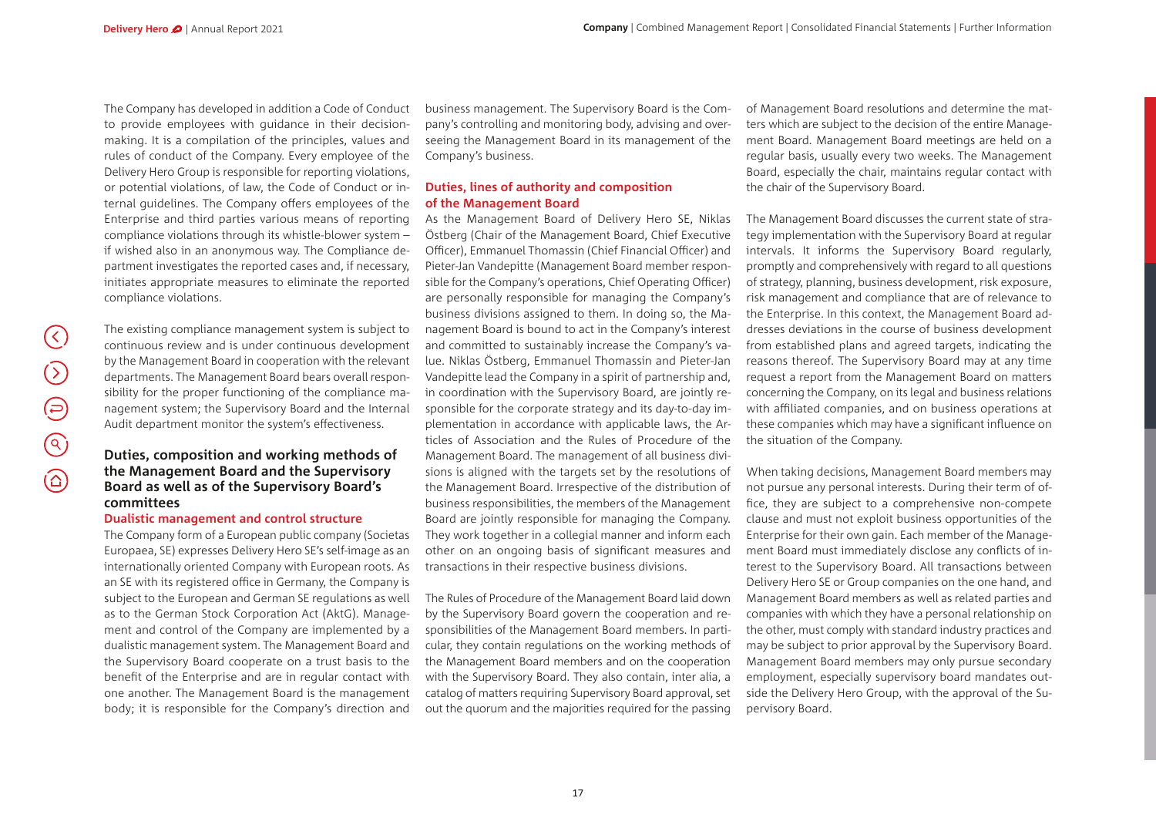$(\langle \rangle)$ 

 $\bigcirc$ 

 $\bigoplus$ 

 $\circledcirc$ 

 $\circledcirc$ 

The Company has developed in addition a Code of Conduct to provide employees with guidance in their decisionmaking. It is a compilation of the principles, values and rules of conduct of the Company. Every employee of the Delivery Hero Group is responsible for reporting violations, or potential violations, of law, the Code of Conduct or internal guidelines. The Company offers employees of the Enterprise and third parties various means of reporting compliance violations through its whistle-blower system – if wished also in an anonymous way. The Compliance department investigates the reported cases and, if necessary, initiates appropriate measures to eliminate the reported compliance violations.

The existing compliance management system is subject to continuous review and is under continuous development by the Management Board in cooperation with the relevant departments. The Management Board bears overall responsibility for the proper functioning of the compliance management system; the Supervisory Board and the Internal Audit department monitor the system's effectiveness.

#### **Duties, composition and working methods of the Management Board and the Supervisory Board as well as of the Supervisory Board's committees**

#### **Dualistic management and control structure**

The Company form of a European public company (Societas Europaea, SE) expresses Delivery Hero SE's self-image as an internationally oriented Company with European roots. As an SE with its registered office in Germany, the Company is subject to the European and German SE regulations as well as to the German Stock Corporation Act (AktG). Management and control of the Company are implemented by a dualistic management system. The Management Board and the Supervisory Board cooperate on a trust basis to the benefit of the Enterprise and are in regular contact with one another. The Management Board is the management body; it is responsible for the Company's direction and

business management. The Supervisory Board is the Company's controlling and monitoring body, advising and overseeing the Management Board in its management of the Company's business.

#### **Duties, lines of authority and composition of the Management Board**

As the Management Board of Delivery Hero SE, Niklas Östberg (Chair of the Management Board, Chief Executive Officer), Emmanuel Thomassin (Chief Financial Officer) and Pieter-Jan Vandepitte (Management Board member responsible for the Company's operations, Chief Operating Officer) are personally responsible for managing the Company's business divisions assigned to them. In doing so, the Management Board is bound to act in the Company's interest and committed to sustainably increase the Company's value. Niklas Östberg, Emmanuel Thomassin and Pieter-Jan Vandepitte lead the Company in a spirit of partnership and, in coordination with the Supervisory Board, are jointly responsible for the corporate strategy and its day-to-day implementation in accordance with applicable laws, the Articles of Association and the Rules of Procedure of the Management Board. The management of all business divisions is aligned with the targets set by the resolutions of the Management Board. Irrespective of the distribution of business responsibilities, the members of the Management Board are jointly responsible for managing the Company. They work together in a collegial manner and inform each other on an ongoing basis of significant measures and transactions in their respective business divisions.

The Rules of Procedure of the Management Board laid down by the Supervisory Board govern the cooperation and responsibilities of the Management Board members. In particular, they contain regulations on the working methods of the Management Board members and on the cooperation with the Supervisory Board. They also contain, inter alia, a catalog of matters requiring Supervisory Board approval, set out the quorum and the majorities required for the passing

of Management Board resolutions and determine the matters which are subject to the decision of the entire Management Board. Management Board meetings are held on a regular basis, usually every two weeks. The Management Board, especially the chair, maintains regular contact with the chair of the Supervisory Board.

The Management Board discusses the current state of strategy implementation with the Supervisory Board at regular intervals. It informs the Supervisory Board regularly, promptly and comprehensively with regard to all questions of strategy, planning, business development, risk exposure, risk management and compliance that are of relevance to the Enterprise. In this context, the Management Board addresses deviations in the course of business development from established plans and agreed targets, indicating the reasons thereof. The Supervisory Board may at any time request a report from the Management Board on matters concerning the Company, on its legal and business relations with affiliated companies, and on business operations at these companies which may have a significant influence on the situation of the Company.

When taking decisions, Management Board members may not pursue any personal interests. During their term of office, they are subject to a comprehensive non-compete clause and must not exploit business opportunities of the Enterprise for their own gain. Each member of the Management Board must immediately disclose any conflicts of interest to the Supervisory Board. All transactions between Delivery Hero SE or Group companies on the one hand, and Management Board members as well as related parties and companies with which they have a personal relationship on the other, must comply with standard industry practices and may be subject to prior approval by the Supervisory Board. Management Board members may only pursue secondary employment, especially supervisory board mandates outside the Delivery Hero Group, with the approval of the Supervisory Board.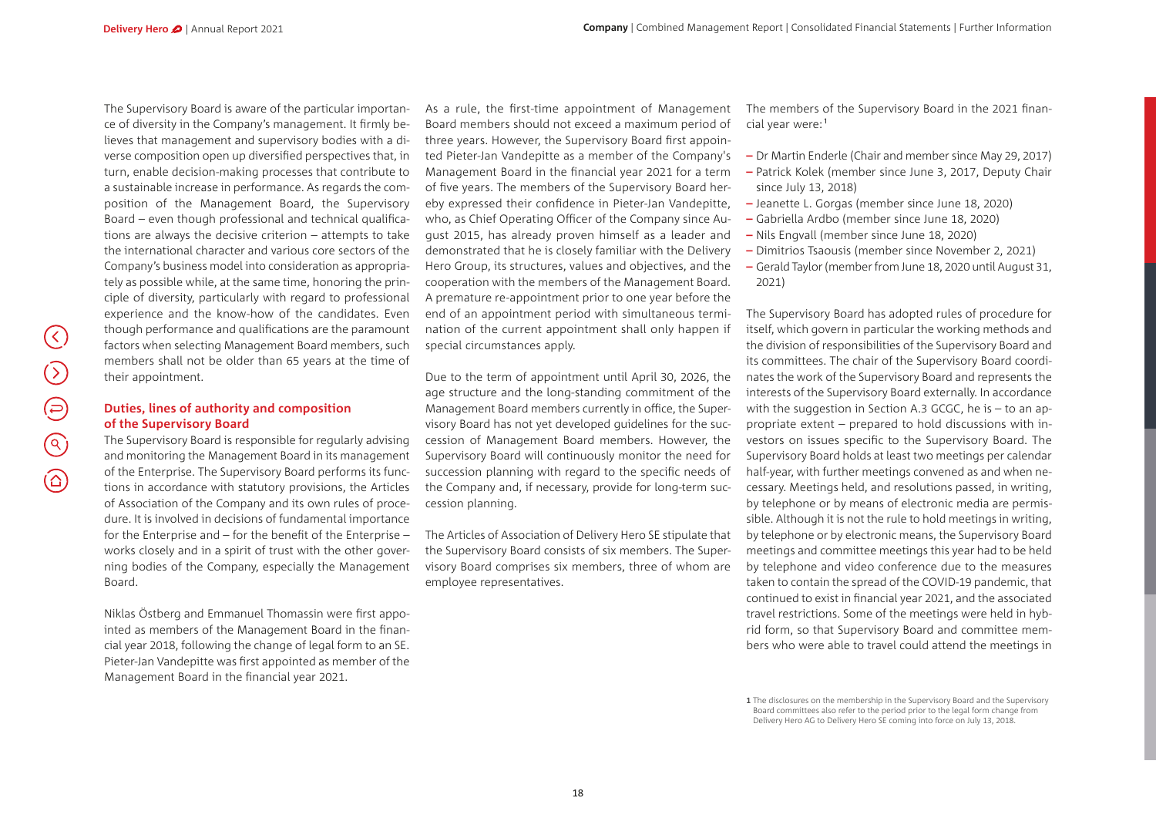The Supervisory Board is aware of the particular importance of diversity in the Company's management. It firmly believes that management and supervisory bodies with a diverse composition open up diversified perspectives that, in turn, enable decision-making processes that contribute to a sustainable increase in performance. As regards the composition of the Management Board, the Supervisory Board – even though professional and technical qualifications are always the decisive criterion – attempts to take the international character and various core sectors of the Company's business model into consideration as appropriately as possible while, at the same time, honoring the principle of diversity, particularly with regard to professional experience and the know-how of the candidates. Even though performance and qualifications are the paramount factors when selecting Management Board members, such members shall not be older than 65 years at the time of their appointment.

#### **Duties, lines of authority and composition of the Supervisory Board**

 $(\zeta)$ 

 $(\Sigma$ 

 $\bigoplus$ 

 $\overline{\textcircled{\circ}}$ 

 $\circledcirc$ 

The Supervisory Board is responsible for regularly advising and monitoring the Management Board in its management of the Enterprise. The Supervisory Board performs its functions in accordance with statutory provisions, the Articles of Association of the Company and its own rules of procedure. It is involved in decisions of fundamental importance for the Enterprise and – for the benefit of the Enterprise – works closely and in a spirit of trust with the other governing bodies of the Company, especially the Management Board.

Niklas Östberg and Emmanuel Thomassin were first appointed as members of the Management Board in the financial year 2018, following the change of legal form to an SE. Pieter-Jan Vandepitte was first appointed as member of the Management Board in the financial year 2021.

As a rule, the first-time appointment of Management Board members should not exceed a maximum period of three years. However, the Supervisory Board first appointed Pieter-Jan Vandepitte as a member of the Company's Management Board in the financial year 2021 for a term of five years. The members of the Supervisory Board hereby expressed their confidence in Pieter-Jan Vandepitte, who, as Chief Operating Officer of the Company since August 2015, has already proven himself as a leader and demonstrated that he is closely familiar with the Delivery Hero Group, its structures, values and objectives, and the cooperation with the members of the Management Board. A premature re-appointment prior to one year before the end of an appointment period with simultaneous termination of the current appointment shall only happen if special circumstances apply.

Due to the term of appointment until April 30, 2026, the age structure and the long-standing commitment of the Management Board members currently in office, the Supervisory Board has not yet developed guidelines for the succession of Management Board members. However, the Supervisory Board will continuously monitor the need for succession planning with regard to the specific needs of the Company and, if necessary, provide for long-term succession planning.

The Articles of Association of Delivery Hero SE stipulate that the Supervisory Board consists of six members. The Supervisory Board comprises six members, three of whom are employee representatives.

The members of the Supervisory Board in the 2021 financial year were:<sup>1</sup>

- **–** Dr Martin Enderle (Chair and member since May 29, 2017)
- **–** Patrick Kolek (member since June 3, 2017, Deputy Chair since July 13, 2018)
- **–** Jeanette L. Gorgas (member since June 18, 2020)
- **–** Gabriella Ardbo (member since June 18, 2020)
- **–** Nils Engvall (member since June 18, 2020)
- **–** Dimitrios Tsaousis (member since November 2, 2021)
- **–** Gerald Taylor (member from June 18, 2020 until August 31, 2021)

The Supervisory Board has adopted rules of procedure for itself, which govern in particular the working methods and the division of responsibilities of the Supervisory Board and its committees. The chair of the Supervisory Board coordinates the work of the Supervisory Board and represents the interests of the Supervisory Board externally. In accordance with the suggestion in Section A.3 GCGC, he is – to an appropriate extent – prepared to hold discussions with investors on issues specific to the Supervisory Board. The Supervisory Board holds at least two meetings per calendar half-year, with further meetings convened as and when necessary. Meetings held, and resolutions passed, in writing, by telephone or by means of electronic media are permissible. Although it is not the rule to hold meetings in writing, by telephone or by electronic means, the Supervisory Board meetings and committee meetings this year had to be held by telephone and video conference due to the measures taken to contain the spread of the COVID-19 pandemic, that continued to exist in financial year 2021, and the associated travel restrictions. Some of the meetings were held in hybrid form, so that Supervisory Board and committee members who were able to travel could attend the meetings in

**<sup>1</sup>** The disclosures on the membership in the Supervisory Board and the Supervisory Board committees also refer to the period prior to the legal form change from Delivery Hero AG to Delivery Hero SE coming into force on July 13, 2018.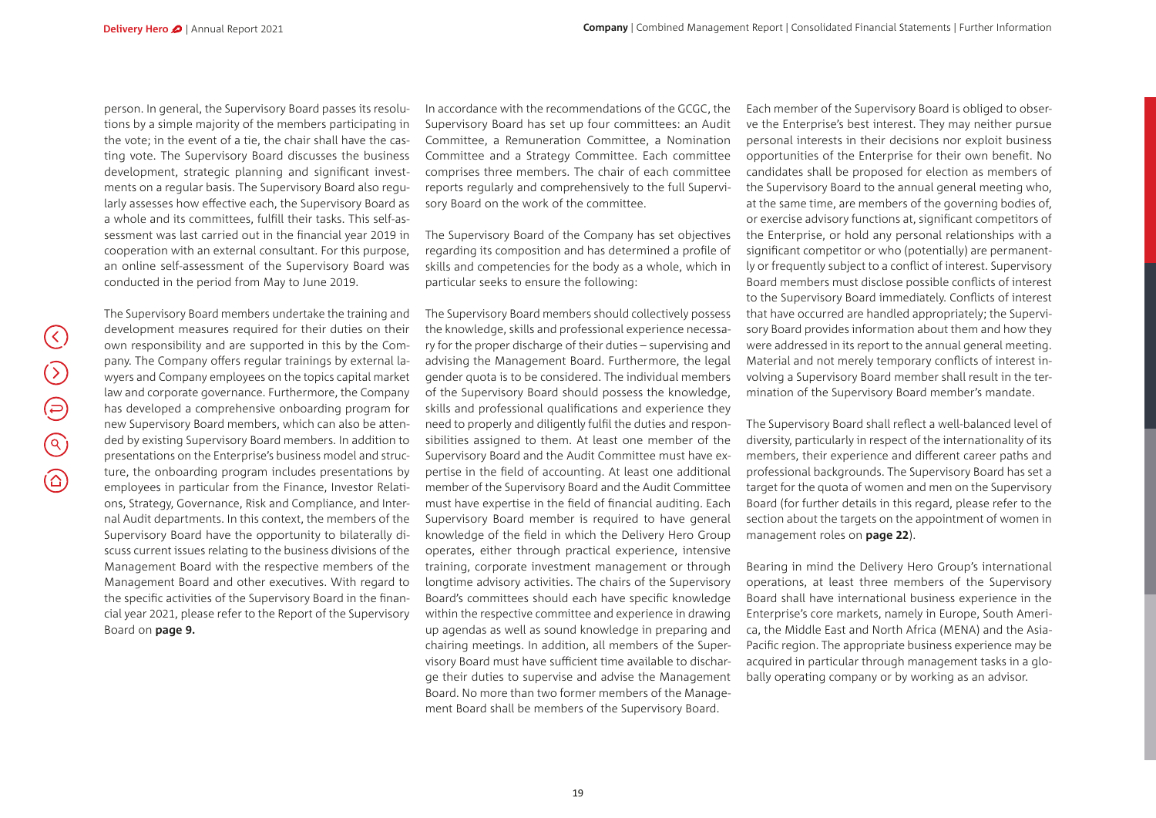person. In general, the Supervisory Board passes its resolutions by a simple majority of the members participating in the vote; in the event of a tie, the chair shall have the casting vote. The Supervisory Board discusses the business development, strategic planning and significant investments on a regular basis. The Supervisory Board also regularly assesses how effective each, the Supervisory Board as a whole and its committees, fulfill their tasks. This self-assessment was last carried out in the financial year 2019 in cooperation with an external consultant. For this purpose, an online self-assessment of the Supervisory Board was conducted in the period from May to June 2019.

The Supervisory Board members undertake the training and development measures required for their duties on their own responsibility and are supported in this by the Company. The Company offers regular trainings by external lawyers and Company employees on the topics capital market law and corporate governance. Furthermore, the Company has developed a comprehensive onboarding program for new Supervisory Board members, which can also be attended by existing Supervisory Board members. In addition to presentations on the Enterprise's business model and structure, the onboarding program includes presentations by employees in particular from the Finance, Investor Relations, Strategy, Governance, Risk and Compliance, and Internal Audit departments. In this context, the members of the Supervisory Board have the opportunity to bilaterally discuss current issues relating to the business divisions of the Management Board with the respective members of the Management Board and other executives. With regard to the specific activities of the Supervisory Board in the financial year 2021, please refer to the Report of the Supervisory Board on **page 9.**

In accordance with the recommendations of the GCGC, the Supervisory Board has set up four committees: an Audit Committee, a Remuneration Committee, a Nomination Committee and a Strategy Committee. Each committee comprises three members. The chair of each committee reports regularly and comprehensively to the full Supervisory Board on the work of the committee.

The Supervisory Board of the Company has set objectives regarding its composition and has determined a profile of skills and competencies for the body as a whole, which in particular seeks to ensure the following:

The Supervisory Board members should collectively possess the knowledge, skills and professional experience necessary for the proper discharge of their duties – supervising and advising the Management Board. Furthermore, the legal gender quota is to be considered. The individual members of the Supervisory Board should possess the knowledge, skills and professional qualifications and experience they need to properly and diligently fulfil the duties and responsibilities assigned to them. At least one member of the Supervisory Board and the Audit Committee must have expertise in the field of accounting. At least one additional member of the Supervisory Board and the Audit Committee must have expertise in the field of financial auditing. Each Supervisory Board member is required to have general knowledge of the field in which the Delivery Hero Group operates, either through practical experience, intensive training, corporate investment management or through longtime advisory activities. The chairs of the Supervisory Board's committees should each have specific knowledge within the respective committee and experience in drawing up agendas as well as sound knowledge in preparing and chairing meetings. In addition, all members of the Supervisory Board must have sufficient time available to discharge their duties to supervise and advise the Management Board. No more than two former members of the Management Board shall be members of the Supervisory Board.

Each member of the Supervisory Board is obliged to observe the Enterprise's best interest. They may neither pursue personal interests in their decisions nor exploit business opportunities of the Enterprise for their own benefit. No candidates shall be proposed for election as members of the Supervisory Board to the annual general meeting who, at the same time, are members of the governing bodies of, or exercise advisory functions at, significant competitors of the Enterprise, or hold any personal relationships with a significant competitor or who (potentially) are permanently or frequently subject to a conflict of interest. Supervisory Board members must disclose possible conflicts of interest to the Supervisory Board immediately. Conflicts of interest that have occurred are handled appropriately; the Supervisory Board provides information about them and how they were addressed in its report to the annual general meeting. Material and not merely temporary conflicts of interest involving a Supervisory Board member shall result in the termination of the Supervisory Board member's mandate.

The Supervisory Board shall reflect a well-balanced level of diversity, particularly in respect of the internationality of its members, their experience and different career paths and professional backgrounds. The Supervisory Board has set a target for the quota of women and men on the Supervisory Board (for further details in this regard, please refer to the section about the targets on the appointment of women in management roles on **page 22**).

Bearing in mind the Delivery Hero Group's international operations, at least three members of the Supervisory Board shall have international business experience in the Enterprise's core markets, namely in Europe, South America, the Middle East and North Africa (MENA) and the Asia-Pacific region. The appropriate business experience may be acquired in particular through management tasks in a globally operating company or by working as an advisor.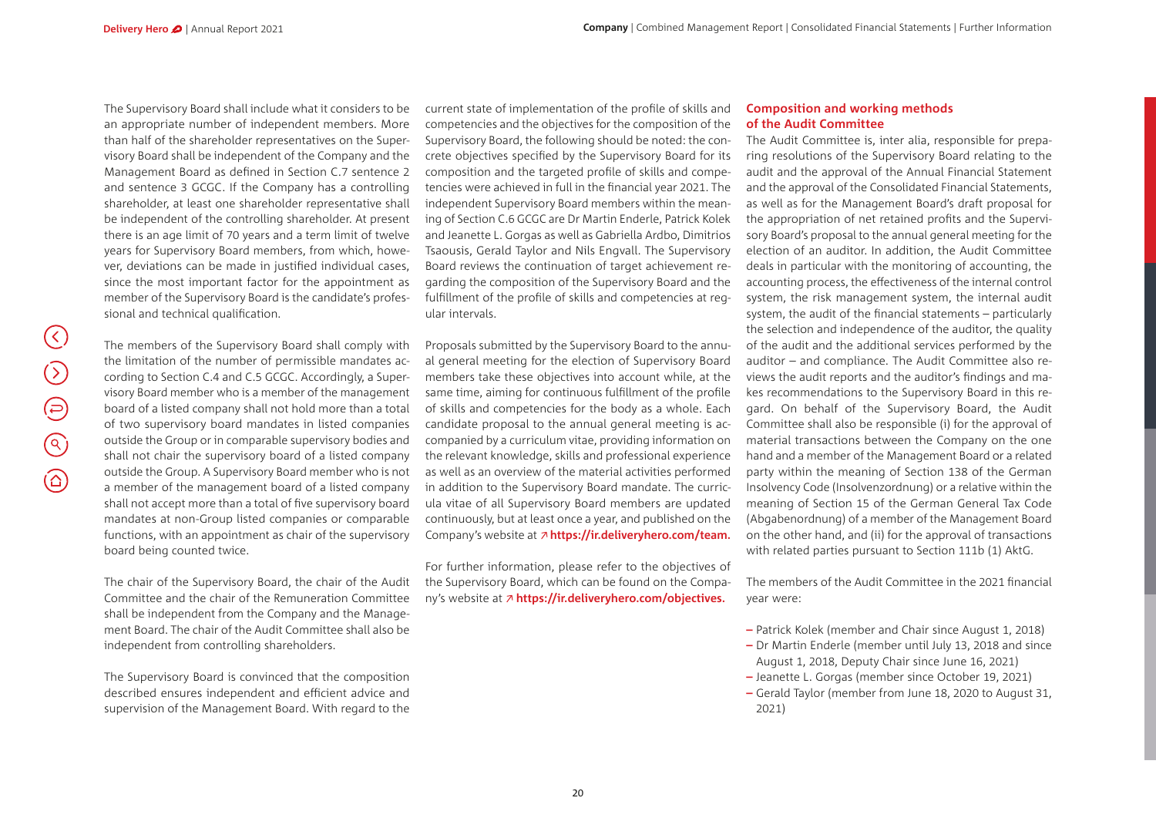The Supervisory Board shall include what it considers to be an appropriate number of independent members. More than half of the shareholder representatives on the Supervisory Board shall be independent of the Company and the Management Board as defined in Section C.7 sentence 2 and sentence 3 GCGC. If the Company has a controlling shareholder, at least one shareholder representative shall be independent of the controlling shareholder. At present there is an age limit of 70 years and a term limit of twelve years for Supervisory Board members, from which, however, deviations can be made in justified individual cases, since the most important factor for the appointment as member of the Supervisory Board is the candidate's professional and technical qualification.

current state of implementation of the profile of skills and competencies and the objectives for the composition of the Supervisory Board, the following should be noted: the concrete objectives specified by the Supervisory Board for its composition and the targeted profile of skills and competencies were achieved in full in the financial year 2021. The independent Supervisory Board members within the meaning of Section C.6 GCGC are Dr Martin Enderle, Patrick Kolek and Jeanette L. Gorgas as well as Gabriella Ardbo, Dimitrios Tsaousis, Gerald Taylor and Nils Engvall. The Supervisory Board reviews the continuation of target achievement regarding the composition of the Supervisory Board and the fulfillment of the profile of skills and competencies at regular intervals.

The members of the Supervisory Board shall comply with the limitation of the number of permissible mandates according to Section C.4 and C.5 GCGC. Accordingly, a Supervisory Board member who is a member of the management board of a listed company shall not hold more than a total of two supervisory board mandates in listed companies outside the Group or in comparable supervisory bodies and shall not chair the supervisory board of a listed company outside the Group. A Supervisory Board member who is not a member of the management board of a listed company shall not accept more than a total of five supervisory board mandates at non-Group listed companies or comparable functions, with an appointment as chair of the supervisory board being counted twice.

The chair of the Supervisory Board, the chair of the Audit Committee and the chair of the Remuneration Committee shall be independent from the Company and the Management Board. The chair of the Audit Committee shall also be independent from controlling shareholders.

The Supervisory Board is convinced that the composition described ensures independent and efficient advice and supervision of the Management Board. With regard to the Proposals submitted by the Supervisory Board to the annual general meeting for the election of Supervisory Board members take these objectives into account while, at the same time, aiming for continuous fulfillment of the profile of skills and competencies for the body as a whole. Each candidate proposal to the annual general meeting is accompanied by a curriculum vitae, providing information on the relevant knowledge, skills and professional experience as well as an overview of the material activities performed in addition to the Supervisory Board mandate. The curricula vitae of all Supervisory Board members are updated continuously, but at least once a year, and published on the Company's website at **[https://ir.deliveryhero.com/team.](https://ir.deliveryhero.com/websites/delivery/German/4010/team.html)**

For further information, please refer to the objectives of the Supervisory Board, which can be found on the Company's website at **[https://ir.deliveryhero.com/objectives.](https://ir.deliveryhero.com/objectives)**

#### **Composition and working methods of the Audit Committee**

The Audit Committee is, inter alia, responsible for preparing resolutions of the Supervisory Board relating to the audit and the approval of the Annual Financial Statement and the approval of the Consolidated Financial Statements, as well as for the Management Board's draft proposal for the appropriation of net retained profits and the Supervisory Board's proposal to the annual general meeting for the election of an auditor. In addition, the Audit Committee deals in particular with the monitoring of accounting, the accounting process, the effectiveness of the internal control system, the risk management system, the internal audit system, the audit of the financial statements – particularly the selection and independence of the auditor, the quality of the audit and the additional services performed by the auditor – and compliance. The Audit Committee also reviews the audit reports and the auditor's findings and makes recommendations to the Supervisory Board in this regard. On behalf of the Supervisory Board, the Audit Committee shall also be responsible (i) for the approval of material transactions between the Company on the one hand and a member of the Management Board or a related party within the meaning of Section 138 of the German Insolvency Code (Insolvenzordnung) or a relative within the meaning of Section 15 of the German General Tax Code (Abgabenordnung) of a member of the Management Board on the other hand, and (ii) for the approval of transactions with related parties pursuant to Section 111b (1) AktG.

The members of the Audit Committee in the 2021 financial year were:

- **–** Patrick Kolek (member and Chair since August 1, 2018)
- **–** Dr Martin Enderle (member until July 13, 2018 and since August 1, 2018, Deputy Chair since June 16, 2021)
- **–** Jeanette L. Gorgas (member since October 19, 2021)
- **–** Gerald Taylor (member from June 18, 2020 to August 31, 2021)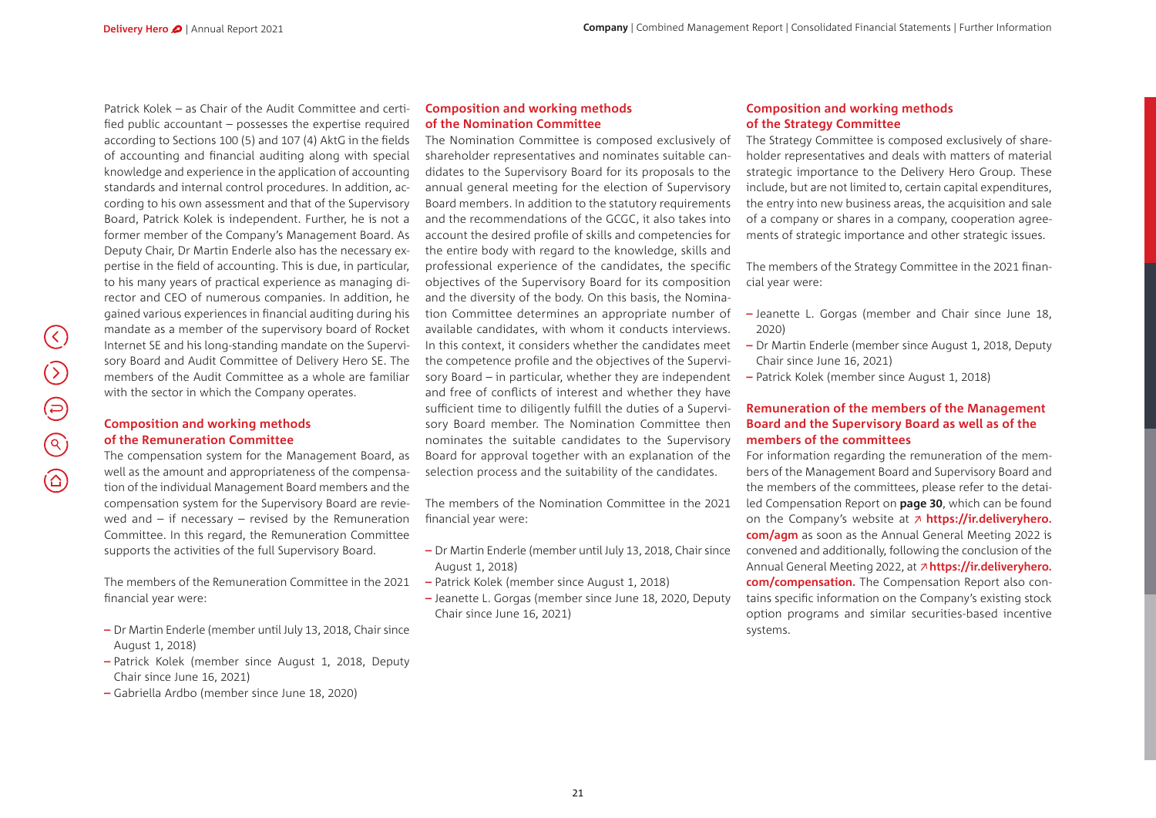Patrick Kolek – as Chair of the Audit Committee and certified public accountant – possesses the expertise required according to Sections 100 (5) and 107 (4) AktG in the fields of accounting and financial auditing along with special knowledge and experience in the application of accounting standards and internal control procedures. In addition, according to his own assessment and that of the Supervisory Board, Patrick Kolek is independent. Further, he is not a former member of the Company's Management Board. As Deputy Chair, Dr Martin Enderle also has the necessary expertise in the field of accounting. This is due, in particular, to his many years of practical experience as managing director and CEO of numerous companies. In addition, he gained various experiences in financial auditing during his mandate as a member of the supervisory board of Rocket Internet SE and his long-standing mandate on the Supervisory Board and Audit Committee of Delivery Hero SE. The members of the Audit Committee as a whole are familiar with the sector in which the Company operates.

#### **Composition and working methods of the Remuneration Committee**

The compensation system for the Management Board, as well as the amount and appropriateness of the compensation of the individual Management Board members and the compensation system for the Supervisory Board are reviewed and  $-$  if necessary  $-$  revised by the Remuneration Committee. In this regard, the Remuneration Committee supports the activities of the full Supervisory Board.

The members of the Remuneration Committee in the 2021 financial year were:

- **–** Dr Martin Enderle (member until July 13, 2018, Chair since August 1, 2018)
- **–** Patrick Kolek (member since August 1, 2018, Deputy Chair since June 16, 2021)
- **–** Gabriella Ardbo (member since June 18, 2020)

#### **Composition and working methods of the Nomination Committee**

The Nomination Committee is composed exclusively of shareholder representatives and nominates suitable candidates to the Supervisory Board for its proposals to the annual general meeting for the election of Supervisory Board members. In addition to the statutory requirements and the recommendations of the GCGC, it also takes into account the desired profile of skills and competencies for the entire body with regard to the knowledge, skills and professional experience of the candidates, the specific objectives of the Supervisory Board for its composition and the diversity of the body. On this basis, the Nomination Committee determines an appropriate number of available candidates, with whom it conducts interviews. In this context, it considers whether the candidates meet the competence profile and the objectives of the Supervisory Board – in particular, whether they are independent and free of conflicts of interest and whether they have sufficient time to diligently fulfill the duties of a Supervisory Board member. The Nomination Committee then nominates the suitable candidates to the Supervisory Board for approval together with an explanation of the selection process and the suitability of the candidates.

The members of the Nomination Committee in the 2021 financial year were:

- **–** Dr Martin Enderle (member until July 13, 2018, Chair since August 1, 2018)
- **–** Patrick Kolek (member since August 1, 2018)
- **–** Jeanette L. Gorgas (member since June 18, 2020, Deputy Chair since June 16, 2021)

#### **Composition and working methods of the Strategy Committee**

The Strategy Committee is composed exclusively of shareholder representatives and deals with matters of material strategic importance to the Delivery Hero Group. These include, but are not limited to, certain capital expenditures, the entry into new business areas, the acquisition and sale of a company or shares in a company, cooperation agreements of strategic importance and other strategic issues.

The members of the Strategy Committee in the 2021 financial year were:

- **–** Jeanette L. Gorgas (member and Chair since June 18, 2020)
- **–** Dr Martin Enderle (member since August 1, 2018, Deputy Chair since June 16, 2021)
- **–** Patrick Kolek (member since August 1, 2018)

#### **Remuneration of the members of the Management Board and the Supervisory Board as well as of the members of the committees**

For information regarding the remuneration of the members of the Management Board and Supervisory Board and the members of the committees, please refer to the detailed Compensation Report on **page 30**, which can be found on the Company's website at **[https://ir.deliveryhero.](https://ir.deliveryhero.com/agm) [com/agm](https://ir.deliveryhero.com/agm)** as soon as the Annual General Meeting 2022 is convened and additionally, following the conclusion of the Annual General Meeting 2022, at **[https://ir.deliveryhero.](https://ir.deliveryhero.com/compensation.) [com/compensation.](https://ir.deliveryhero.com/compensation.)** The Compensation Report also contains specific information on the Company's existing stock option programs and similar securities-based incentive systems.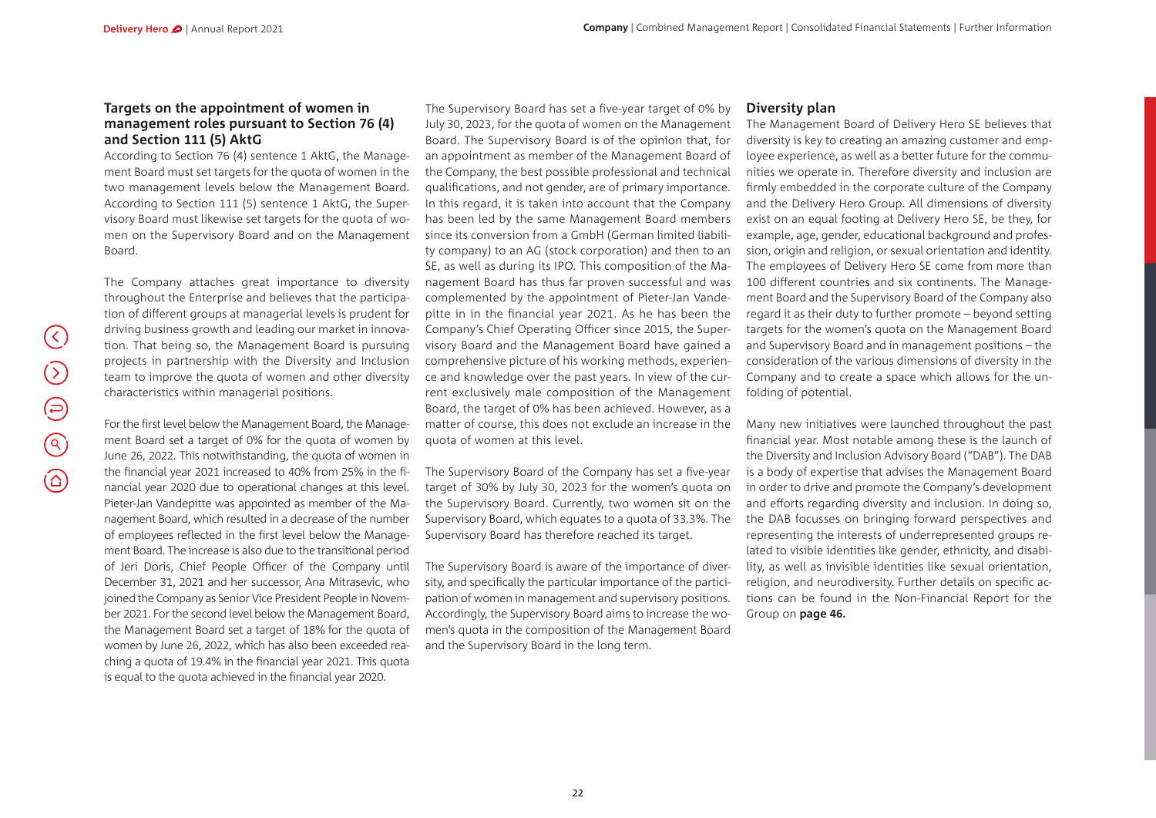#### **Targets on the appointment of women in management roles pursuant to Section 76 (4) and Section 111 (5) AktG**

According to Section 76 (4) sentence 1 AktG, the Management Board must set targets for the quota of women in the two management levels below the Management Board. According to Section 111 (5) sentence 1 AktG, the Supervisory Board must likewise set targets for the quota of women on the Supervisory Board and on the Management Board.

The Company attaches great importance to diversity throughout the Enterprise and believes that the participation of different groups at managerial levels is prudent for driving business growth and leading our market in innovation. That being so, the Management Board is pursuing projects in partnership with the Diversity and Inclusion team to improve the quota of women and other diversity characteristics within managerial positions.

For the first level below the Management Board, the Management Board set a target of 0% for the quota of women by June 26, 2022. This notwithstanding, the quota of women in the financial year 2021 increased to 40% from 25% in the financial year 2020 due to operational changes at this level. Pieter-Jan Vandepitte was appointed as member of the Management Board, which resulted in a decrease of the number of employees reflected in the first level below the Management Board. The increase is also due to the transitional period of Jeri Doris, Chief People Officer of the Company until December 31, 2021 and her successor, Ana Mitrasevic, who joined the Company as Senior Vice President People in November 2021. For the second level below the Management Board, the Management Board set a target of 18% for the quota of women by June 26, 2022, which has also been exceeded reaching a quota of 19.4% in the financial year 2021. This quota is equal to the quota achieved in the financial year 2020.

The Supervisory Board has set a five-year target of 0% by July 30, 2023, for the quota of women on the Management Board. The Supervisory Board is of the opinion that, for an appointment as member of the Management Board of the Company, the best possible professional and technical qualifications, and not gender, are of primary importance. In this regard, it is taken into account that the Company has been led by the same Management Board members since its conversion from a GmbH (German limited liability company) to an AG (stock corporation) and then to an SE, as well as during its IPO. This composition of the Management Board has thus far proven successful and was complemented by the appointment of Pieter-Jan Vandepitte in in the financial year 2021. As he has been the Company's Chief Operating Officer since 2015, the Supervisory Board and the Management Board have gained a comprehensive picture of his working methods, experience and knowledge over the past years. In view of the current exclusively male composition of the Management Board, the target of 0% has been achieved. However, as a matter of course, this does not exclude an increase in the quota of women at this level.

The Supervisory Board of the Company has set a five-year target of 30% by July 30, 2023 for the women's quota on the Supervisory Board. Currently, two women sit on the Supervisory Board, which equates to a quota of 33.3%. The Supervisory Board has therefore reached its target.

The Supervisory Board is aware of the importance of diversity, and specifically the particular importance of the participation of women in management and supervisory positions. Accordingly, the Supervisory Board aims to increase the women's quota in the composition of the Management Board and the Supervisory Board in the long term.

#### **Diversity plan**

The Management Board of Delivery Hero SE believes that diversity is key to creating an amazing customer and employee experience, as well as a better future for the communities we operate in. Therefore diversity and inclusion are firmly embedded in the corporate culture of the Company and the Delivery Hero Group. All dimensions of diversity exist on an equal footing at Delivery Hero SE, be they, for example, age, gender, educational background and profession, origin and religion, or sexual orientation and identity. The employees of Delivery Hero SE come from more than 100 different countries and six continents. The Management Board and the Supervisory Board of the Company also regard it as their duty to further promote – beyond setting targets for the women's quota on the Management Board and Supervisory Board and in management positions – the consideration of the various dimensions of diversity in the Company and to create a space which allows for the unfolding of potential.

Many new initiatives were launched throughout the past financial year. Most notable among these is the launch of the Diversity and Inclusion Advisory Board ("DAB"). The DAB is a body of expertise that advises the Management Board in order to drive and promote the Company's development and efforts regarding diversity and inclusion. In doing so, the DAB focusses on bringing forward perspectives and representing the interests of underrepresented groups related to visible identities like gender, ethnicity, and disability, as well as invisible identities like sexual orientation, religion, and neurodiversity. Further details on specific actions can be found in the Non-Financial Report for the Group on **page 46.**

 $(\langle \rangle)$ 

 $\bigcirc$ 

 $\bigoplus$ 

 $\bigodot$ 

 $\circledcirc$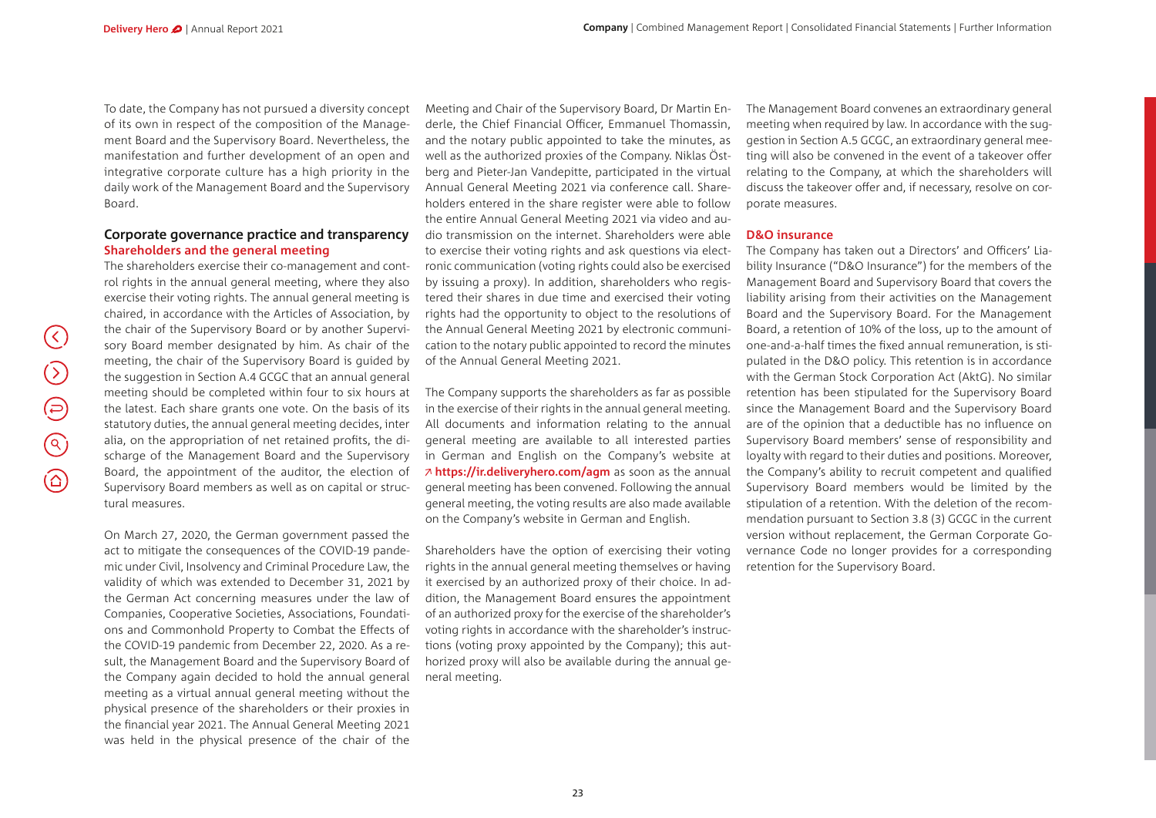To date, the Company has not pursued a diversity concept of its own in respect of the composition of the Management Board and the Supervisory Board. Nevertheless, the manifestation and further development of an open and integrative corporate culture has a high priority in the daily work of the Management Board and the Supervisory Board.

#### **Corporate governance practice and transparency Shareholders and the general meeting**

The shareholders exercise their co-management and control rights in the annual general meeting, where they also exercise their voting rights. The annual general meeting is chaired, in accordance with the Articles of Association, by the chair of the Supervisory Board or by another Supervisory Board member designated by him. As chair of the meeting, the chair of the Supervisory Board is guided by the suggestion in Section A.4 GCGC that an annual general meeting should be completed within four to six hours at the latest. Each share grants one vote. On the basis of its statutory duties, the annual general meeting decides, inter alia, on the appropriation of net retained profits, the discharge of the Management Board and the Supervisory Board, the appointment of the auditor, the election of Supervisory Board members as well as on capital or structural measures.

On March 27, 2020, the German government passed the act to mitigate the consequences of the COVID-19 pandemic under Civil, Insolvency and Criminal Procedure Law, the validity of which was extended to December 31, 2021 by the German Act concerning measures under the law of Companies, Cooperative Societies, Associations, Foundations and Commonhold Property to Combat the Effects of the COVID-19 pandemic from December 22, 2020. As a result, the Management Board and the Supervisory Board of the Company again decided to hold the annual general meeting as a virtual annual general meeting without the physical presence of the shareholders or their proxies in the financial year 2021. The Annual General Meeting 2021 was held in the physical presence of the chair of the

Meeting and Chair of the Supervisory Board, Dr Martin Enderle, the Chief Financial Officer, Emmanuel Thomassin, and the notary public appointed to take the minutes, as well as the authorized proxies of the Company. Niklas Östberg and Pieter-Jan Vandepitte, participated in the virtual Annual General Meeting 2021 via conference call. Shareholders entered in the share register were able to follow the entire Annual General Meeting 2021 via video and audio transmission on the internet. Shareholders were able to exercise their voting rights and ask questions via electronic communication (voting rights could also be exercised by issuing a proxy). In addition, shareholders who registered their shares in due time and exercised their voting rights had the opportunity to object to the resolutions of the Annual General Meeting 2021 by electronic communication to the notary public appointed to record the minutes of the Annual General Meeting 2021.

The Company supports the shareholders as far as possible in the exercise of their rights in the annual general meeting. All documents and information relating to the annual general meeting are available to all interested parties in German and English on the Company's website at **<https://ir.deliveryhero.com/agm>** as soon as the annual general meeting has been convened. Following the annual general meeting, the voting results are also made available on the Company's website in German and English.

Shareholders have the option of exercising their voting rights in the annual general meeting themselves or having it exercised by an authorized proxy of their choice. In addition, the Management Board ensures the appointment of an authorized proxy for the exercise of the shareholder's voting rights in accordance with the shareholder's instructions (voting proxy appointed by the Company); this authorized proxy will also be available during the annual general meeting.

The Management Board convenes an extraordinary general meeting when required by law. In accordance with the suggestion in Section A.5 GCGC, an extraordinary general meeting will also be convened in the event of a takeover offer relating to the Company, at which the shareholders will discuss the takeover offer and, if necessary, resolve on corporate measures.

#### **D&O insurance**

The Company has taken out a Directors' and Officers' Liability Insurance ("D&O Insurance") for the members of the Management Board and Supervisory Board that covers the liability arising from their activities on the Management Board and the Supervisory Board. For the Management Board, a retention of 10% of the loss, up to the amount of one-and-a-half times the fixed annual remuneration, is stipulated in the D&O policy. This retention is in accordance with the German Stock Corporation Act (AktG). No similar retention has been stipulated for the Supervisory Board since the Management Board and the Supervisory Board are of the opinion that a deductible has no influence on Supervisory Board members' sense of responsibility and loyalty with regard to their duties and positions. Moreover, the Company's ability to recruit competent and qualified Supervisory Board members would be limited by the stipulation of a retention. With the deletion of the recommendation pursuant to Section 3.8 (3) GCGC in the current version without replacement, the German Corporate Governance Code no longer provides for a corresponding retention for the Supervisory Board.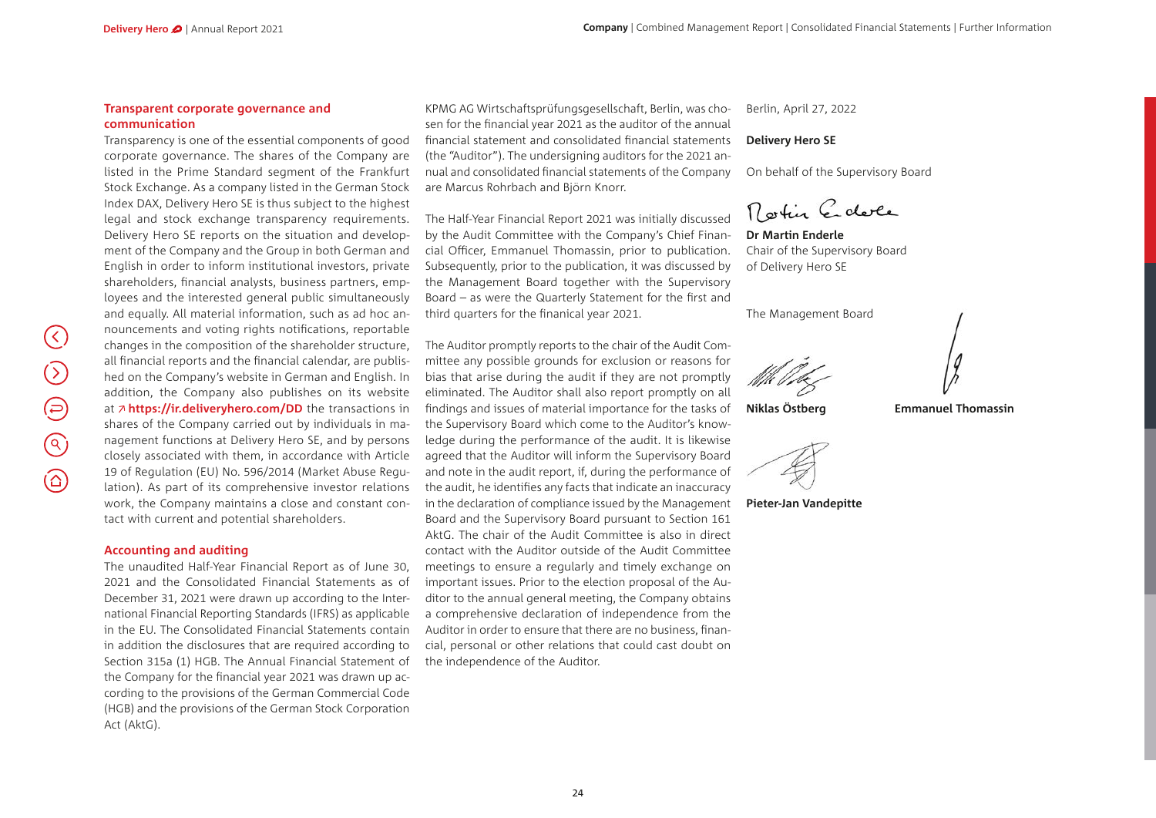#### **Transparent corporate governance and communication**

Transparency is one of the essential components of good corporate governance. The shares of the Company are listed in the Prime Standard segment of the Frankfurt Stock Exchange. As a company listed in the German Stock Index DAX, Delivery Hero SE is thus subject to the highest legal and stock exchange transparency requirements. Delivery Hero SE reports on the situation and development of the Company and the Group in both German and English in order to inform institutional investors, private shareholders, financial analysts, business partners, employees and the interested general public simultaneously and equally. All material information, such as ad hoc announcements and voting rights notifications, reportable changes in the composition of the shareholder structure, all financial reports and the financial calendar, are published on the Company's website in German and English. In addition, the Company also publishes on its website at  $\lambda$  [https://ir.deliveryhero.com/DD](https://ir.deliveryhero.com/websites/delivery/English/6300/managers_-transactions.html) the transactions in shares of the Company carried out by individuals in management functions at Delivery Hero SE, and by persons closely associated with them, in accordance with Article 19 of Regulation (EU) No. 596/2014 (Market Abuse Regulation). As part of its comprehensive investor relations work, the Company maintains a close and constant contact with current and potential shareholders.

#### **Accounting and auditing**

The unaudited Half-Year Financial Report as of June 30, 2021 and the Consolidated Financial Statements as of December 31, 2021 were drawn up according to the International Financial Reporting Standards (IFRS) as applicable in the EU. The Consolidated Financial Statements contain in addition the disclosures that are required according to Section 315a (1) HGB. The Annual Financial Statement of the Company for the financial year 2021 was drawn up according to the provisions of the German Commercial Code (HGB) and the provisions of the German Stock Corporation Act (AktG).

KPMG AG Wirtschaftsprüfungsgesellschaft, Berlin, was chosen for the financial year 2021 as the auditor of the annual financial statement and consolidated financial statements (the "Auditor"). The undersigning auditors for the 2021 annual and consolidated financial statements of the Company are Marcus Rohrbach and Björn Knorr.

The Half-Year Financial Report 2021 was initially discussed by the Audit Committee with the Company's Chief Financial Officer, Emmanuel Thomassin, prior to publication. Subsequently, prior to the publication, it was discussed by the Management Board together with the Supervisory Board – as were the Quarterly Statement for the first and third quarters for the finanical year 2021.

The Auditor promptly reports to the chair of the Audit Committee any possible grounds for exclusion or reasons for bias that arise during the audit if they are not promptly eliminated. The Auditor shall also report promptly on all findings and issues of material importance for the tasks of the Supervisory Board which come to the Auditor's knowledge during the performance of the audit. It is likewise agreed that the Auditor will inform the Supervisory Board and note in the audit report, if, during the performance of the audit, he identifies any facts that indicate an inaccuracy in the declaration of compliance issued by the Management Board and the Supervisory Board pursuant to Section 161 AktG. The chair of the Audit Committee is also in direct contact with the Auditor outside of the Audit Committee meetings to ensure a regularly and timely exchange on important issues. Prior to the election proposal of the Auditor to the annual general meeting, the Company obtains a comprehensive declaration of independence from the Auditor in order to ensure that there are no business, financial, personal or other relations that could cast doubt on the independence of the Auditor.

Berlin, April 27, 2022

#### **Delivery Hero SE**

On behalf of the Supervisory Board

Rostin Edele

**Dr Martin Enderle** Chair of the Supervisory Board of Delivery Hero SE

The Management Board

**Niklas Östberg Emmanuel Thomassin**



**Pieter-Jan Vandepitte**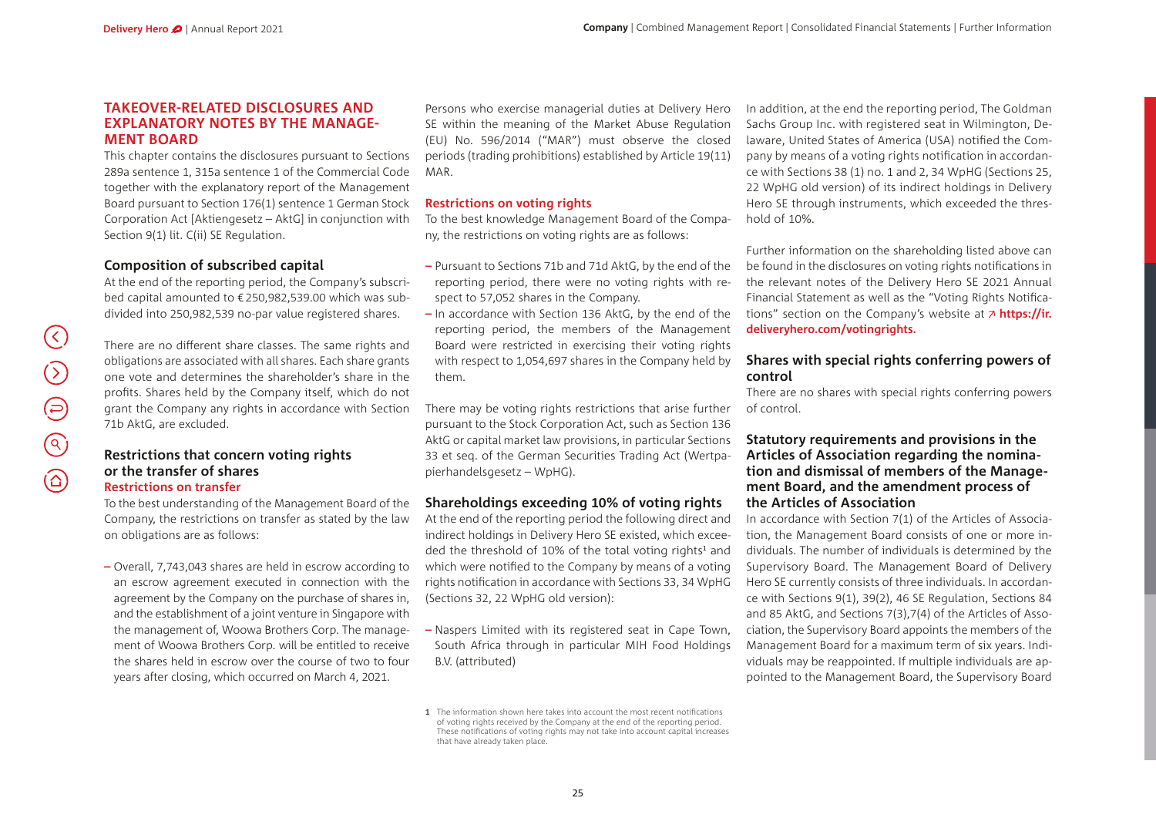#### **TAKEOVER-RELATED DISCLOSURES AND EXPLANATORY NOTES BY THE MANAGE-MENT BOARD**

This chapter contains the disclosures pursuant to Sections 289a sentence 1, 315a sentence 1 of the Commercial Code together with the explanatory report of the Management Board pursuant to Section 176(1) sentence 1 German Stock Corporation Act [Aktiengesetz – AktG] in conjunction with Section 9(1) lit. C(ii) SE Regulation.

# **Composition of subscribed capital**

At the end of the reporting period, the Company's subscribed capital amounted to €250,982,539.00 which was subdivided into 250,982,539 no-par value registered shares.

There are no different share classes. The same rights and obligations are associated with all shares. Each share grants one vote and determines the shareholder's share in the profits. Shares held by the Company itself, which do not grant the Company any rights in accordance with Section 71b AktG, are excluded.

# **Restrictions that concern voting rights or the transfer of shares**

# **Restrictions on transfer**

To the best understanding of the Management Board of the Company, the restrictions on transfer as stated by the law on obligations are as follows:

**–** Overall, 7,743,043 shares are held in escrow according to an escrow agreement executed in connection with the agreement by the Company on the purchase of shares in, and the establishment of a joint venture in Singapore with the management of, Woowa Brothers Corp. The management of Woowa Brothers Corp. will be entitled to receive the shares held in escrow over the course of two to four years after closing, which occurred on March 4, 2021.

Persons who exercise managerial duties at Delivery Hero SE within the meaning of the Market Abuse Regulation (EU) No. 596/2014 ("MAR") must observe the closed periods (trading prohibitions) established by Article 19(11) MAR.

## **Restrictions on voting rights**

To the best knowledge Management Board of the Company, the restrictions on voting rights are as follows:

- **–** Pursuant to Sections 71b and 71d AktG, by the end of the reporting period, there were no voting rights with respect to 57,052 shares in the Company.
- **–** In accordance with Section 136 AktG, by the end of the reporting period, the members of the Management Board were restricted in exercising their voting rights with respect to 1,054,697 shares in the Company held by them.

There may be voting rights restrictions that arise further pursuant to the Stock Corporation Act, such as Section 136 AktG or capital market law provisions, in particular Sections 33 et seq. of the German Securities Trading Act (Wertpapierhandelsgesetz – WpHG).

# **Shareholdings exceeding 10% of voting rights**

At the end of the reporting period the following direct and indirect holdings in Delivery Hero SE existed, which exceeded the threshold of 10% of the total voting rights<sup>1</sup> and which were notified to the Company by means of a voting rights notification in accordance with Sections 33, 34 WpHG (Sections 32, 22 WpHG old version):

**–** Naspers Limited with its registered seat in Cape Town, South Africa through in particular MIH Food Holdings B.V. (attributed)

In addition, at the end the reporting period, The Goldman Sachs Group Inc. with registered seat in Wilmington, Delaware, United States of America (USA) notified the Company by means of a voting rights notification in accordance with Sections 38 (1) no. 1 and 2, 34 WpHG (Sections 25, 22 WpHG old version) of its indirect holdings in Delivery Hero SE through instruments, which exceeded the threshold of 10%.

Further information on the shareholding listed above can be found in the disclosures on voting rights notifications in the relevant notes of the Delivery Hero SE 2021 Annual Financial Statement as well as the "Voting Rights Notifications" section on the Company's website at **[https://ir.](https://ir.­deliveryhero.com/votingrights.) [deliveryhero.com/votingrights.](https://ir.­deliveryhero.com/votingrights.)**

## **Shares with special rights conferring powers of control**

There are no shares with special rights conferring powers of control.

#### **Statutory requirements and provisions in the Articles of Association regarding the nomination and dismissal of members of the Management Board, and the amendment process of the Articles of Association**

In accordance with Section 7(1) of the Articles of Association, the Management Board consists of one or more individuals. The number of individuals is determined by the Supervisory Board. The Management Board of Delivery Hero SE currently consists of three individuals. In accordance with Sections 9(1), 39(2), 46 SE Regulation, Sections 84 and 85 AktG, and Sections 7(3),7(4) of the Articles of Association, the Supervisory Board appoints the members of the Management Board for a maximum term of six years. Individuals may be reappointed. If multiple individuals are appointed to the Management Board, the Supervisory Board

**<sup>1</sup>** The information shown here takes into account the most recent notifications of voting rights received by the Company at the end of the reporting period. These notifications of voting rights may not take into account capital increases that have already taken place.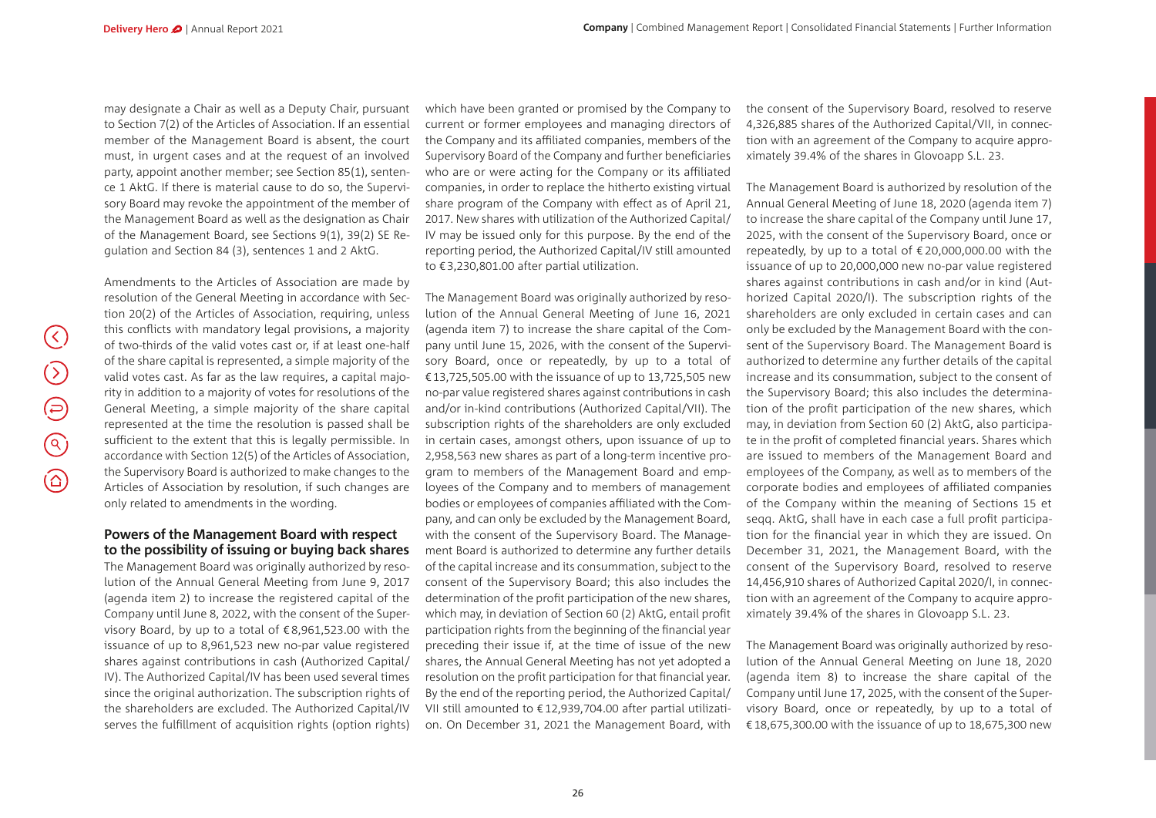$(\zeta)$ 

 $\bigcirc$ 

 $\bigoplus$ 

 $\odot$ 

 $\circledcirc$ 

may designate a Chair as well as a Deputy Chair, pursuant to Section 7(2) of the Articles of Association. If an essential member of the Management Board is absent, the court must, in urgent cases and at the request of an involved party, appoint another member; see Section 85(1), sentence 1 AktG. If there is material cause to do so, the Supervisory Board may revoke the appointment of the member of the Management Board as well as the designation as Chair of the Management Board, see Sections 9(1), 39(2) SE Regulation and Section 84 (3), sentences 1 and 2 AktG.

Amendments to the Articles of Association are made by resolution of the General Meeting in accordance with Section 20(2) of the Articles of Association, requiring, unless this conflicts with mandatory legal provisions, a majority of two-thirds of the valid votes cast or, if at least one-half of the share capital is represented, a simple majority of the valid votes cast. As far as the law requires, a capital majority in addition to a majority of votes for resolutions of the General Meeting, a simple majority of the share capital represented at the time the resolution is passed shall be sufficient to the extent that this is legally permissible. In accordance with Section 12(5) of the Articles of Association, the Supervisory Board is authorized to make changes to the Articles of Association by resolution, if such changes are only related to amendments in the wording.

#### **Powers of the Management Board with respect to the possibility of issuing or buying back shares**

The Management Board was originally authorized by resolution of the Annual General Meeting from June 9, 2017 (agenda item 2) to increase the registered capital of the Company until June 8, 2022, with the consent of the Supervisory Board, by up to a total of €8,961,523.00 with the issuance of up to 8,961,523 new no-par value registered shares against contributions in cash (Authorized Capital/ IV). The Authorized Capital/IV has been used several times since the original authorization. The subscription rights of the shareholders are excluded. The Authorized Capital/IV serves the fulfillment of acquisition rights (option rights)

which have been granted or promised by the Company to current or former employees and managing directors of the Company and its affiliated companies, members of the Supervisory Board of the Company and further beneficiaries who are or were acting for the Company or its affiliated companies, in order to replace the hitherto existing virtual share program of the Company with effect as of April 21, 2017. New shares with utilization of the Authorized Capital/ IV may be issued only for this purpose. By the end of the reporting period, the Authorized Capital/IV still amounted to €3,230,801.00 after partial utilization.

The Management Board was originally authorized by resolution of the Annual General Meeting of June 16, 2021 (agenda item 7) to increase the share capital of the Company until June 15, 2026, with the consent of the Supervisory Board, once or repeatedly, by up to a total of €13,725,505.00 with the issuance of up to 13,725,505 new no-par value registered shares against contributions in cash and/or in-kind contributions (Authorized Capital/VII). The subscription rights of the shareholders are only excluded in certain cases, amongst others, upon issuance of up to 2,958,563 new shares as part of a long-term incentive program to members of the Management Board and employees of the Company and to members of management bodies or employees of companies affiliated with the Company, and can only be excluded by the Management Board, with the consent of the Supervisory Board. The Management Board is authorized to determine any further details of the capital increase and its consummation, subject to the consent of the Supervisory Board; this also includes the determination of the profit participation of the new shares, which may, in deviation of Section 60 (2) AktG, entail profit participation rights from the beginning of the financial year preceding their issue if, at the time of issue of the new shares, the Annual General Meeting has not yet adopted a resolution on the profit participation for that financial year. By the end of the reporting period, the Authorized Capital/ VII still amounted to €12,939,704.00 after partial utilization. On December 31, 2021 the Management Board, with

the consent of the Supervisory Board, resolved to reserve 4,326,885 shares of the Authorized Capital/VII, in connection with an agreement of the Company to acquire approximately 39.4% of the shares in Glovoapp S.L. 23.

The Management Board is authorized by resolution of the Annual General Meeting of June 18, 2020 (agenda item 7) to increase the share capital of the Company until June 17, 2025, with the consent of the Supervisory Board, once or repeatedly, by up to a total of € 20,000,000.00 with the issuance of up to 20,000,000 new no-par value registered shares against contributions in cash and/or in kind (Authorized Capital 2020/I). The subscription rights of the shareholders are only excluded in certain cases and can only be excluded by the Management Board with the consent of the Supervisory Board. The Management Board is authorized to determine any further details of the capital increase and its consummation, subject to the consent of the Supervisory Board; this also includes the determination of the profit participation of the new shares, which may, in deviation from Section 60 (2) AktG, also participate in the profit of completed financial years. Shares which are issued to members of the Management Board and employees of the Company, as well as to members of the corporate bodies and employees of affiliated companies of the Company within the meaning of Sections 15 et seqq. AktG, shall have in each case a full profit participation for the financial year in which they are issued. On December 31, 2021, the Management Board, with the consent of the Supervisory Board, resolved to reserve 14,456,910 shares of Authorized Capital 2020/I, in connection with an agreement of the Company to acquire approximately 39.4% of the shares in Glovoapp S.L. 23.

The Management Board was originally authorized by resolution of the Annual General Meeting on June 18, 2020 (agenda item 8) to increase the share capital of the Company until June 17, 2025, with the consent of the Supervisory Board, once or repeatedly, by up to a total of €18,675,300.00 with the issuance of up to 18,675,300 new

26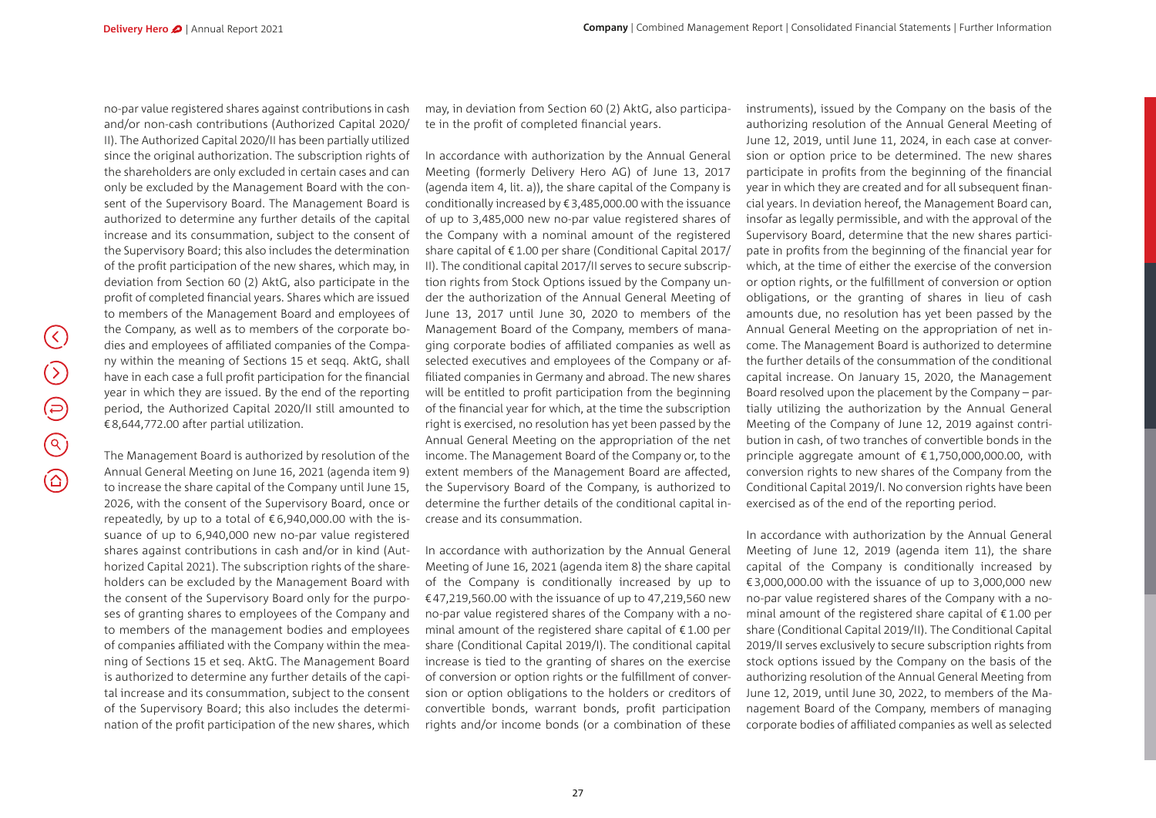$(\langle \rangle)$ 

 $\bigcirc$ 

 $\bigoplus$ 

 $\bigodot$ 

 $\circledcirc$ 

no-par value registered shares against contributions in cash and/or non-cash contributions (Authorized Capital 2020/ II). The Authorized Capital 2020/II has been partially utilized since the original authorization. The subscription rights of the shareholders are only excluded in certain cases and can only be excluded by the Management Board with the consent of the Supervisory Board. The Management Board is authorized to determine any further details of the capital increase and its consummation, subject to the consent of the Supervisory Board; this also includes the determination of the profit participation of the new shares, which may, in deviation from Section 60 (2) AktG, also participate in the profit of completed financial years. Shares which are issued to members of the Management Board and employees of the Company, as well as to members of the corporate bodies and employees of affiliated companies of the Company within the meaning of Sections 15 et seqq. AktG, shall have in each case a full profit participation for the financial year in which they are issued. By the end of the reporting period, the Authorized Capital 2020/II still amounted to €8,644,772.00 after partial utilization.

The Management Board is authorized by resolution of the Annual General Meeting on June 16, 2021 (agenda item 9) to increase the share capital of the Company until June 15, 2026, with the consent of the Supervisory Board, once or repeatedly, by up to a total of  $\epsilon$  6,940,000.00 with the issuance of up to 6,940,000 new no-par value registered shares against contributions in cash and/or in kind (Authorized Capital 2021). The subscription rights of the shareholders can be excluded by the Management Board with the consent of the Supervisory Board only for the purposes of granting shares to employees of the Company and to members of the management bodies and employees of companies affiliated with the Company within the meaning of Sections 15 et seq. AktG. The Management Board is authorized to determine any further details of the capital increase and its consummation, subject to the consent of the Supervisory Board; this also includes the determination of the profit participation of the new shares, which

may, in deviation from Section 60 (2) AktG, also participate in the profit of completed financial years.

In accordance with authorization by the Annual General Meeting (formerly Delivery Hero AG) of June 13, 2017 (agenda item 4, lit. a)), the share capital of the Company is conditionally increased by €3,485,000.00 with the issuance of up to 3,485,000 new no-par value registered shares of the Company with a nominal amount of the registered share capital of €1.00 per share (Conditional Capital 2017/ II). The conditional capital 2017/II serves to secure subscription rights from Stock Options issued by the Company under the authorization of the Annual General Meeting of June 13, 2017 until June 30, 2020 to members of the Management Board of the Company, members of managing corporate bodies of affiliated companies as well as selected executives and employees of the Company or affiliated companies in Germany and abroad. The new shares will be entitled to profit participation from the beginning of the financial year for which, at the time the subscription right is exercised, no resolution has yet been passed by the Annual General Meeting on the appropriation of the net income. The Management Board of the Company or, to the extent members of the Management Board are affected, the Supervisory Board of the Company, is authorized to determine the further details of the conditional capital increase and its consummation.

In accordance with authorization by the Annual General Meeting of June 16, 2021 (agenda item 8) the share capital of the Company is conditionally increased by up to €47,219,560.00 with the issuance of up to 47,219,560 new no-par value registered shares of the Company with a nominal amount of the registered share capital of  $£1.00$  per share (Conditional Capital 2019/I). The conditional capital increase is tied to the granting of shares on the exercise of conversion or option rights or the fulfillment of conversion or option obligations to the holders or creditors of convertible bonds, warrant bonds, profit participation rights and/or income bonds (or a combination of these

27

instruments), issued by the Company on the basis of the authorizing resolution of the Annual General Meeting of June 12, 2019, until June 11, 2024, in each case at conversion or option price to be determined. The new shares participate in profits from the beginning of the financial year in which they are created and for all subsequent financial years. In deviation hereof, the Management Board can, insofar as legally permissible, and with the approval of the Supervisory Board, determine that the new shares participate in profits from the beginning of the financial year for which, at the time of either the exercise of the conversion or option rights, or the fulfillment of conversion or option obligations, or the granting of shares in lieu of cash amounts due, no resolution has yet been passed by the Annual General Meeting on the appropriation of net income. The Management Board is authorized to determine the further details of the consummation of the conditional capital increase. On January 15, 2020, the Management Board resolved upon the placement by the Company – partially utilizing the authorization by the Annual General Meeting of the Company of June 12, 2019 against contribution in cash, of two tranches of convertible bonds in the principle aggregate amount of  $£1,750,000,000.00$ , with conversion rights to new shares of the Company from the Conditional Capital 2019/I. No conversion rights have been exercised as of the end of the reporting period.

In accordance with authorization by the Annual General Meeting of June 12, 2019 (agenda item 11), the share capital of the Company is conditionally increased by €3,000,000.00 with the issuance of up to 3,000,000 new no-par value registered shares of the Company with a nominal amount of the registered share capital of €1.00 per share (Conditional Capital 2019/II). The Conditional Capital 2019/II serves exclusively to secure subscription rights from stock options issued by the Company on the basis of the authorizing resolution of the Annual General Meeting from June 12, 2019, until June 30, 2022, to members of the Management Board of the Company, members of managing corporate bodies of affiliated companies as well as selected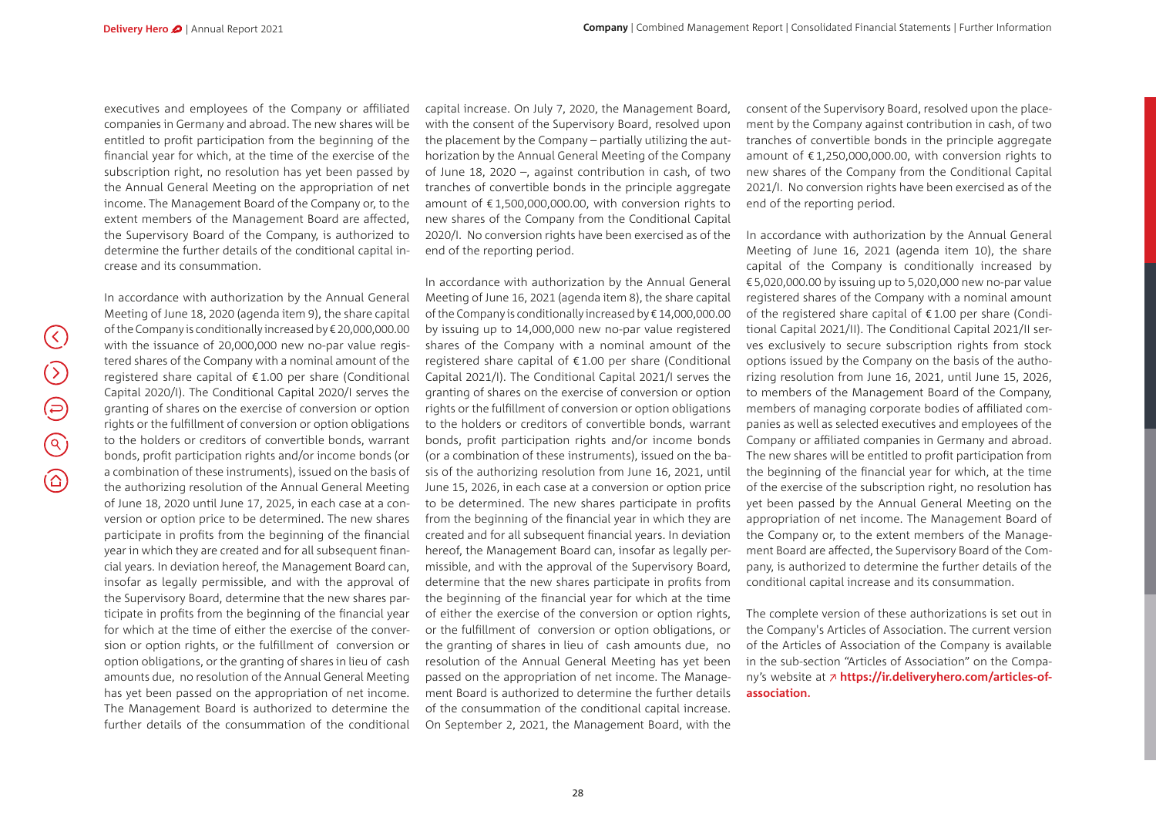executives and employees of the Company or affiliated companies in Germany and abroad. The new shares will be entitled to profit participation from the beginning of the financial year for which, at the time of the exercise of the subscription right, no resolution has yet been passed by the Annual General Meeting on the appropriation of net income. The Management Board of the Company or, to the extent members of the Management Board are affected, the Supervisory Board of the Company, is authorized to determine the further details of the conditional capital increase and its consummation.

 $(\langle \rangle)$  $\bigcirc$  $\bigoplus$  $\circledcirc$  $\circledcirc$  In accordance with authorization by the Annual General Meeting of June 18, 2020 (agenda item 9), the share capital of the Company is conditionally increased by €20,000,000.00 with the issuance of 20,000,000 new no-par value registered shares of the Company with a nominal amount of the registered share capital of €1.00 per share (Conditional Capital 2020/I). The Conditional Capital 2020/I serves the granting of shares on the exercise of conversion or option rights or the fulfillment of conversion or option obligations to the holders or creditors of convertible bonds, warrant bonds, profit participation rights and/or income bonds (or a combination of these instruments), issued on the basis of the authorizing resolution of the Annual General Meeting of June 18, 2020 until June 17, 2025, in each case at a conversion or option price to be determined. The new shares participate in profits from the beginning of the financial year in which they are created and for all subsequent financial years. In deviation hereof, the Management Board can, insofar as legally permissible, and with the approval of the Supervisory Board, determine that the new shares participate in profits from the beginning of the financial year for which at the time of either the exercise of the conversion or option rights, or the fulfillment of conversion or option obligations, or the granting of shares in lieu of cash amounts due, no resolution of the Annual General Meeting has yet been passed on the appropriation of net income. The Management Board is authorized to determine the further details of the consummation of the conditional

capital increase. On July 7, 2020, the Management Board, with the consent of the Supervisory Board, resolved upon the placement by the Company – partially utilizing the authorization by the Annual General Meeting of the Company of June 18, 2020 –, against contribution in cash, of two tranches of convertible bonds in the principle aggregate amount of €1,500,000,000.00, with conversion rights to new shares of the Company from the Conditional Capital 2020/I. No conversion rights have been exercised as of the end of the reporting period.

In accordance with authorization by the Annual General Meeting of June 16, 2021 (agenda item 8), the share capital of the Company is conditionally increased by €14,000,000.00 by issuing up to 14,000,000 new no-par value registered shares of the Company with a nominal amount of the registered share capital of €1.00 per share (Conditional Capital 2021/I). The Conditional Capital 2021/I serves the granting of shares on the exercise of conversion or option rights or the fulfillment of conversion or option obligations to the holders or creditors of convertible bonds, warrant bonds, profit participation rights and/or income bonds (or a combination of these instruments), issued on the basis of the authorizing resolution from June 16, 2021, until June 15, 2026, in each case at a conversion or option price to be determined. The new shares participate in profits from the beginning of the financial year in which they are created and for all subsequent financial years. In deviation hereof, the Management Board can, insofar as legally permissible, and with the approval of the Supervisory Board, determine that the new shares participate in profits from the beginning of the financial year for which at the time of either the exercise of the conversion or option rights, or the fulfillment of conversion or option obligations, or the granting of shares in lieu of cash amounts due, no resolution of the Annual General Meeting has yet been passed on the appropriation of net income. The Management Board is authorized to determine the further details of the consummation of the conditional capital increase. On September 2, 2021, the Management Board, with the

consent of the Supervisory Board, resolved upon the placement by the Company against contribution in cash, of two tranches of convertible bonds in the principle aggregate amount of €1,250,000,000.00, with conversion rights to new shares of the Company from the Conditional Capital 2021/I. No conversion rights have been exercised as of the end of the reporting period.

In accordance with authorization by the Annual General Meeting of June 16, 2021 (agenda item 10), the share capital of the Company is conditionally increased by €5,020,000.00 by issuing up to 5,020,000 new no-par value registered shares of the Company with a nominal amount of the registered share capital of €1.00 per share (Conditional Capital 2021/II). The Conditional Capital 2021/II serves exclusively to secure subscription rights from stock options issued by the Company on the basis of the authorizing resolution from June 16, 2021, until June 15, 2026, to members of the Management Board of the Company, members of managing corporate bodies of affiliated companies as well as selected executives and employees of the Company or affiliated companies in Germany and abroad. The new shares will be entitled to profit participation from the beginning of the financial year for which, at the time of the exercise of the subscription right, no resolution has yet been passed by the Annual General Meeting on the appropriation of net income. The Management Board of the Company or, to the extent members of the Management Board are affected, the Supervisory Board of the Company, is authorized to determine the further details of the conditional capital increase and its consummation.

The complete version of these authorizations is set out in the Company's Articles of Association. The current version of the Articles of Association of the Company is available in the sub-section "Articles of Association" on the Company's website at **[https://ir.deliveryhero.com/articles-of](https://ir.deliveryhero.com/articles-of-association.)[association](https://ir.deliveryhero.com/articles-of-association.).**